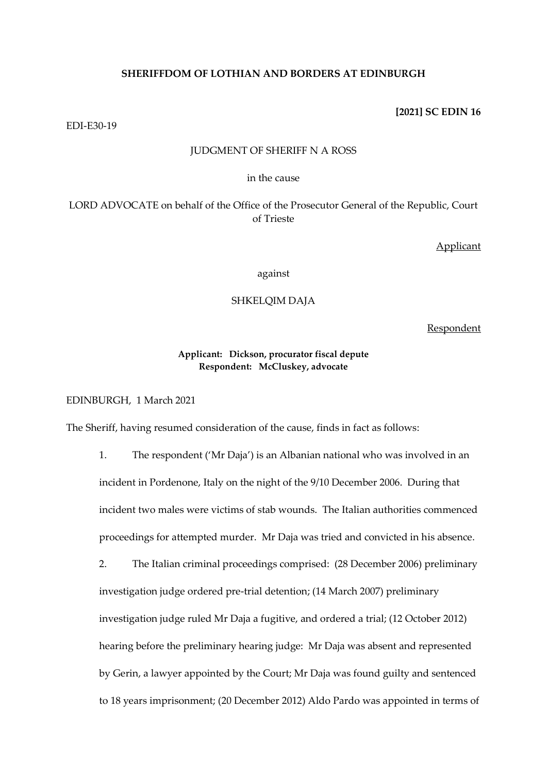## **SHERIFFDOM OF LOTHIAN AND BORDERS AT EDINBURGH**

## **[2021] SC EDIN 16**

EDI-E30-19

## JUDGMENT OF SHERIFF N A ROSS

## in the cause

LORD ADVOCATE on behalf of the Office of the Prosecutor General of the Republic, Court of Trieste

Applicant

against

## SHKELQIM DAJA

Respondent

## **Applicant: Dickson, procurator fiscal depute Respondent: McCluskey, advocate**

EDINBURGH, 1 March 2021

The Sheriff, having resumed consideration of the cause, finds in fact as follows:

1. The respondent ('Mr Daja') is an Albanian national who was involved in an incident in Pordenone, Italy on the night of the 9/10 December 2006. During that incident two males were victims of stab wounds. The Italian authorities commenced proceedings for attempted murder. Mr Daja was tried and convicted in his absence.

2. The Italian criminal proceedings comprised: (28 December 2006) preliminary investigation judge ordered pre-trial detention; (14 March 2007) preliminary investigation judge ruled Mr Daja a fugitive, and ordered a trial; (12 October 2012) hearing before the preliminary hearing judge: Mr Daja was absent and represented by Gerin, a lawyer appointed by the Court; Mr Daja was found guilty and sentenced to 18 years imprisonment; (20 December 2012) Aldo Pardo was appointed in terms of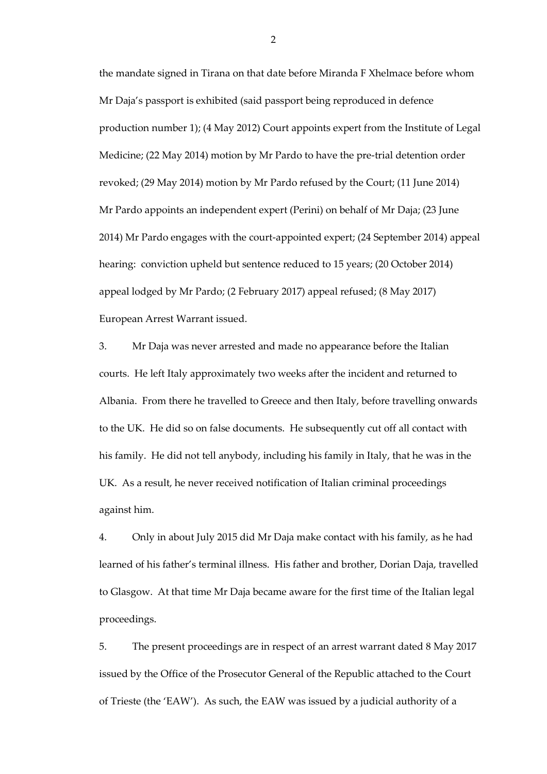the mandate signed in Tirana on that date before Miranda F Xhelmace before whom Mr Daja's passport is exhibited (said passport being reproduced in defence production number 1); (4 May 2012) Court appoints expert from the Institute of Legal Medicine; (22 May 2014) motion by Mr Pardo to have the pre-trial detention order revoked; (29 May 2014) motion by Mr Pardo refused by the Court; (11 June 2014) Mr Pardo appoints an independent expert (Perini) on behalf of Mr Daja; (23 June 2014) Mr Pardo engages with the court-appointed expert; (24 September 2014) appeal hearing: conviction upheld but sentence reduced to 15 years; (20 October 2014) appeal lodged by Mr Pardo; (2 February 2017) appeal refused; (8 May 2017) European Arrest Warrant issued.

3. Mr Daja was never arrested and made no appearance before the Italian courts. He left Italy approximately two weeks after the incident and returned to Albania. From there he travelled to Greece and then Italy, before travelling onwards to the UK. He did so on false documents. He subsequently cut off all contact with his family. He did not tell anybody, including his family in Italy, that he was in the UK. As a result, he never received notification of Italian criminal proceedings against him.

4. Only in about July 2015 did Mr Daja make contact with his family, as he had learned of his father's terminal illness. His father and brother, Dorian Daja, travelled to Glasgow. At that time Mr Daja became aware for the first time of the Italian legal proceedings.

5. The present proceedings are in respect of an arrest warrant dated 8 May 2017 issued by the Office of the Prosecutor General of the Republic attached to the Court of Trieste (the 'EAW'). As such, the EAW was issued by a judicial authority of a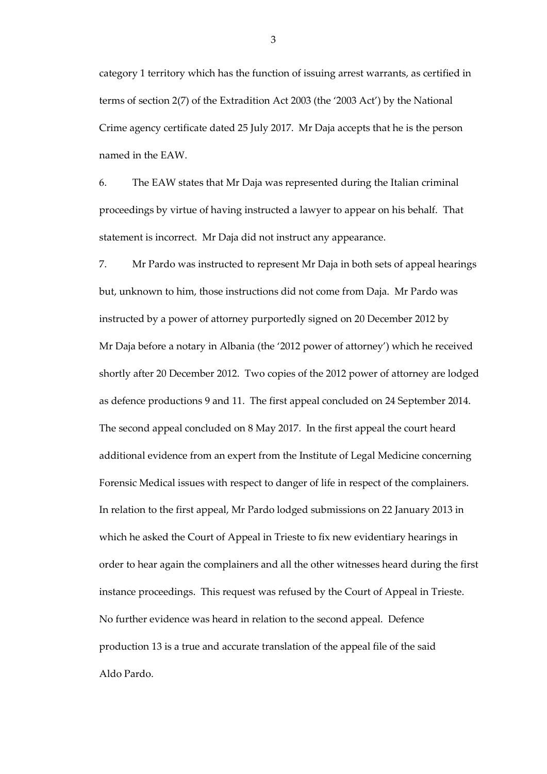category 1 territory which has the function of issuing arrest warrants, as certified in terms of section 2(7) of the Extradition Act 2003 (the '2003 Act') by the National Crime agency certificate dated 25 July 2017. Mr Daja accepts that he is the person named in the EAW.

6. The EAW states that Mr Daja was represented during the Italian criminal proceedings by virtue of having instructed a lawyer to appear on his behalf. That statement is incorrect. Mr Daja did not instruct any appearance.

7. Mr Pardo was instructed to represent Mr Daja in both sets of appeal hearings but, unknown to him, those instructions did not come from Daja. Mr Pardo was instructed by a power of attorney purportedly signed on 20 December 2012 by Mr Daja before a notary in Albania (the '2012 power of attorney') which he received shortly after 20 December 2012. Two copies of the 2012 power of attorney are lodged as defence productions 9 and 11. The first appeal concluded on 24 September 2014. The second appeal concluded on 8 May 2017. In the first appeal the court heard additional evidence from an expert from the Institute of Legal Medicine concerning Forensic Medical issues with respect to danger of life in respect of the complainers. In relation to the first appeal, Mr Pardo lodged submissions on 22 January 2013 in which he asked the Court of Appeal in Trieste to fix new evidentiary hearings in order to hear again the complainers and all the other witnesses heard during the first instance proceedings. This request was refused by the Court of Appeal in Trieste. No further evidence was heard in relation to the second appeal. Defence production 13 is a true and accurate translation of the appeal file of the said Aldo Pardo.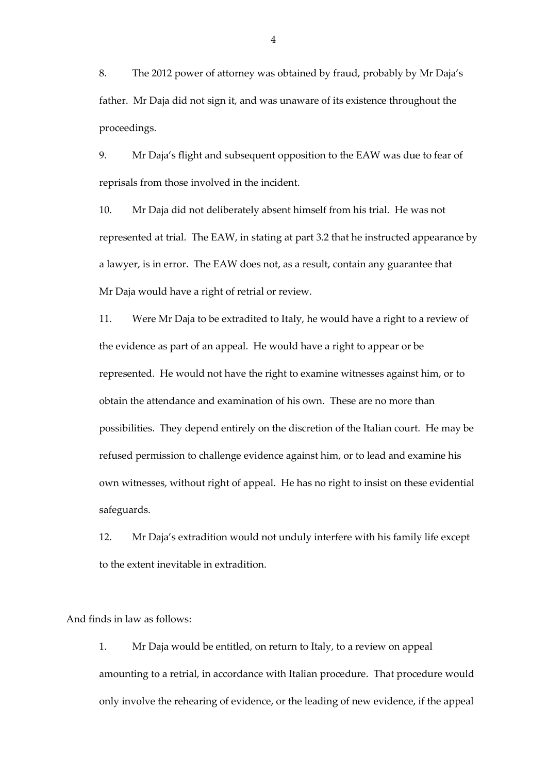8. The 2012 power of attorney was obtained by fraud, probably by Mr Daja's father. Mr Daja did not sign it, and was unaware of its existence throughout the proceedings.

9. Mr Daja's flight and subsequent opposition to the EAW was due to fear of reprisals from those involved in the incident.

10. Mr Daja did not deliberately absent himself from his trial. He was not represented at trial. The EAW, in stating at part 3.2 that he instructed appearance by a lawyer, is in error. The EAW does not, as a result, contain any guarantee that Mr Daja would have a right of retrial or review.

11. Were Mr Daja to be extradited to Italy, he would have a right to a review of the evidence as part of an appeal. He would have a right to appear or be represented. He would not have the right to examine witnesses against him, or to obtain the attendance and examination of his own. These are no more than possibilities. They depend entirely on the discretion of the Italian court. He may be refused permission to challenge evidence against him, or to lead and examine his own witnesses, without right of appeal. He has no right to insist on these evidential safeguards.

12. Mr Daja's extradition would not unduly interfere with his family life except to the extent inevitable in extradition.

And finds in law as follows:

1. Mr Daja would be entitled, on return to Italy, to a review on appeal amounting to a retrial, in accordance with Italian procedure. That procedure would only involve the rehearing of evidence, or the leading of new evidence, if the appeal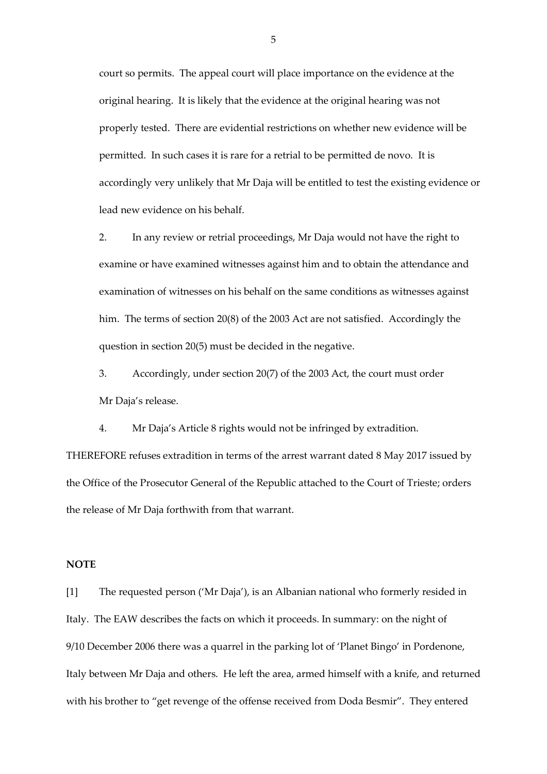court so permits. The appeal court will place importance on the evidence at the original hearing. It is likely that the evidence at the original hearing was not properly tested. There are evidential restrictions on whether new evidence will be permitted. In such cases it is rare for a retrial to be permitted de novo. It is accordingly very unlikely that Mr Daja will be entitled to test the existing evidence or lead new evidence on his behalf.

2. In any review or retrial proceedings, Mr Daja would not have the right to examine or have examined witnesses against him and to obtain the attendance and examination of witnesses on his behalf on the same conditions as witnesses against him. The terms of section 20(8) of the 2003 Act are not satisfied. Accordingly the question in section 20(5) must be decided in the negative.

3. Accordingly, under section 20(7) of the 2003 Act, the court must order Mr Daja's release.

4. Mr Daja's Article 8 rights would not be infringed by extradition.

THEREFORE refuses extradition in terms of the arrest warrant dated 8 May 2017 issued by the Office of the Prosecutor General of the Republic attached to the Court of Trieste; orders the release of Mr Daja forthwith from that warrant.

#### **NOTE**

[1] The requested person ('Mr Daja'), is an Albanian national who formerly resided in Italy. The EAW describes the facts on which it proceeds. In summary: on the night of 9/10 December 2006 there was a quarrel in the parking lot of 'Planet Bingo' in Pordenone, Italy between Mr Daja and others. He left the area, armed himself with a knife, and returned with his brother to "get revenge of the offense received from Doda Besmir". They entered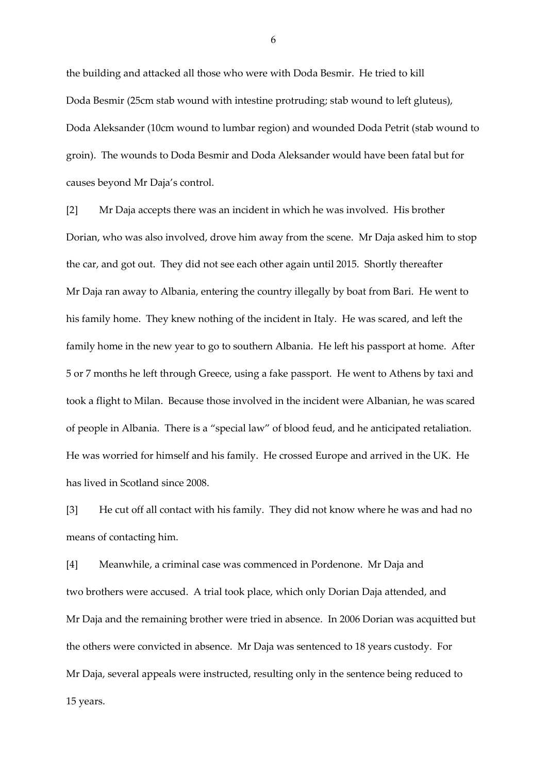the building and attacked all those who were with Doda Besmir. He tried to kill Doda Besmir (25cm stab wound with intestine protruding; stab wound to left gluteus), Doda Aleksander (10cm wound to lumbar region) and wounded Doda Petrit (stab wound to groin). The wounds to Doda Besmir and Doda Aleksander would have been fatal but for causes beyond Mr Daja's control.

[2] Mr Daja accepts there was an incident in which he was involved. His brother Dorian, who was also involved, drove him away from the scene. Mr Daja asked him to stop the car, and got out. They did not see each other again until 2015. Shortly thereafter Mr Daja ran away to Albania, entering the country illegally by boat from Bari. He went to his family home. They knew nothing of the incident in Italy. He was scared, and left the family home in the new year to go to southern Albania. He left his passport at home. After 5 or 7 months he left through Greece, using a fake passport. He went to Athens by taxi and took a flight to Milan. Because those involved in the incident were Albanian, he was scared of people in Albania. There is a "special law" of blood feud, and he anticipated retaliation. He was worried for himself and his family. He crossed Europe and arrived in the UK. He has lived in Scotland since 2008.

[3] He cut off all contact with his family. They did not know where he was and had no means of contacting him.

[4] Meanwhile, a criminal case was commenced in Pordenone. Mr Daja and two brothers were accused. A trial took place, which only Dorian Daja attended, and Mr Daja and the remaining brother were tried in absence. In 2006 Dorian was acquitted but the others were convicted in absence. Mr Daja was sentenced to 18 years custody. For Mr Daja, several appeals were instructed, resulting only in the sentence being reduced to 15 years.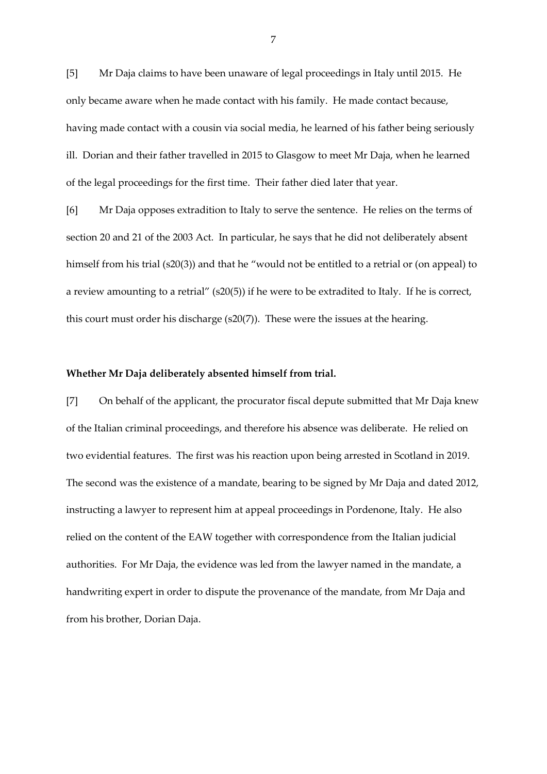[5] Mr Daja claims to have been unaware of legal proceedings in Italy until 2015. He only became aware when he made contact with his family. He made contact because, having made contact with a cousin via social media, he learned of his father being seriously ill. Dorian and their father travelled in 2015 to Glasgow to meet Mr Daja, when he learned of the legal proceedings for the first time. Their father died later that year.

[6] Mr Daja opposes extradition to Italy to serve the sentence. He relies on the terms of section 20 and 21 of the 2003 Act. In particular, he says that he did not deliberately absent himself from his trial (s20(3)) and that he "would not be entitled to a retrial or (on appeal) to a review amounting to a retrial" (s20(5)) if he were to be extradited to Italy. If he is correct, this court must order his discharge (s20(7)). These were the issues at the hearing.

#### **Whether Mr Daja deliberately absented himself from trial.**

[7] On behalf of the applicant, the procurator fiscal depute submitted that Mr Daja knew of the Italian criminal proceedings, and therefore his absence was deliberate. He relied on two evidential features. The first was his reaction upon being arrested in Scotland in 2019. The second was the existence of a mandate, bearing to be signed by Mr Daja and dated 2012, instructing a lawyer to represent him at appeal proceedings in Pordenone, Italy. He also relied on the content of the EAW together with correspondence from the Italian judicial authorities. For Mr Daja, the evidence was led from the lawyer named in the mandate, a handwriting expert in order to dispute the provenance of the mandate, from Mr Daja and from his brother, Dorian Daja.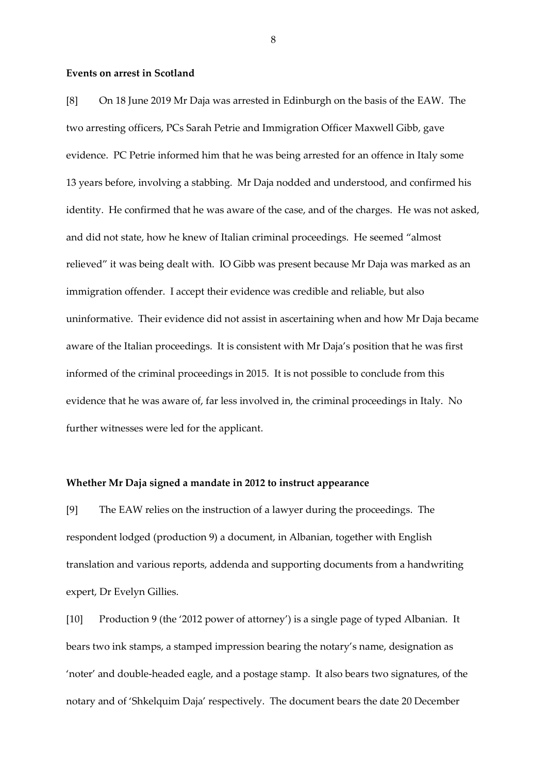## **Events on arrest in Scotland**

[8] On 18 June 2019 Mr Daja was arrested in Edinburgh on the basis of the EAW. The two arresting officers, PCs Sarah Petrie and Immigration Officer Maxwell Gibb, gave evidence. PC Petrie informed him that he was being arrested for an offence in Italy some 13 years before, involving a stabbing. Mr Daja nodded and understood, and confirmed his identity. He confirmed that he was aware of the case, and of the charges. He was not asked, and did not state, how he knew of Italian criminal proceedings. He seemed "almost relieved" it was being dealt with. IO Gibb was present because Mr Daja was marked as an immigration offender. I accept their evidence was credible and reliable, but also uninformative. Their evidence did not assist in ascertaining when and how Mr Daja became aware of the Italian proceedings. It is consistent with Mr Daja's position that he was first informed of the criminal proceedings in 2015. It is not possible to conclude from this evidence that he was aware of, far less involved in, the criminal proceedings in Italy. No further witnesses were led for the applicant.

#### **Whether Mr Daja signed a mandate in 2012 to instruct appearance**

[9] The EAW relies on the instruction of a lawyer during the proceedings. The respondent lodged (production 9) a document, in Albanian, together with English translation and various reports, addenda and supporting documents from a handwriting expert, Dr Evelyn Gillies.

[10] Production 9 (the '2012 power of attorney') is a single page of typed Albanian. It bears two ink stamps, a stamped impression bearing the notary's name, designation as 'noter' and double-headed eagle, and a postage stamp. It also bears two signatures, of the notary and of 'Shkelquim Daja' respectively. The document bears the date 20 December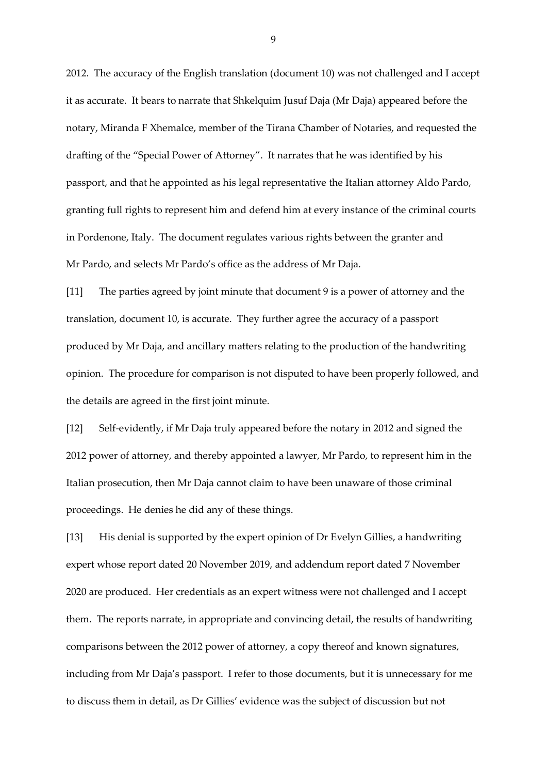2012. The accuracy of the English translation (document 10) was not challenged and I accept it as accurate. It bears to narrate that Shkelquim Jusuf Daja (Mr Daja) appeared before the notary, Miranda F Xhemalce, member of the Tirana Chamber of Notaries, and requested the drafting of the "Special Power of Attorney". It narrates that he was identified by his passport, and that he appointed as his legal representative the Italian attorney Aldo Pardo, granting full rights to represent him and defend him at every instance of the criminal courts in Pordenone, Italy. The document regulates various rights between the granter and Mr Pardo, and selects Mr Pardo's office as the address of Mr Daja.

[11] The parties agreed by joint minute that document 9 is a power of attorney and the translation, document 10, is accurate. They further agree the accuracy of a passport produced by Mr Daja, and ancillary matters relating to the production of the handwriting opinion. The procedure for comparison is not disputed to have been properly followed, and the details are agreed in the first joint minute.

[12] Self-evidently, if Mr Daja truly appeared before the notary in 2012 and signed the 2012 power of attorney, and thereby appointed a lawyer, Mr Pardo, to represent him in the Italian prosecution, then Mr Daja cannot claim to have been unaware of those criminal proceedings. He denies he did any of these things.

[13] His denial is supported by the expert opinion of Dr Evelyn Gillies, a handwriting expert whose report dated 20 November 2019, and addendum report dated 7 November 2020 are produced. Her credentials as an expert witness were not challenged and I accept them. The reports narrate, in appropriate and convincing detail, the results of handwriting comparisons between the 2012 power of attorney, a copy thereof and known signatures, including from Mr Daja's passport. I refer to those documents, but it is unnecessary for me to discuss them in detail, as Dr Gillies' evidence was the subject of discussion but not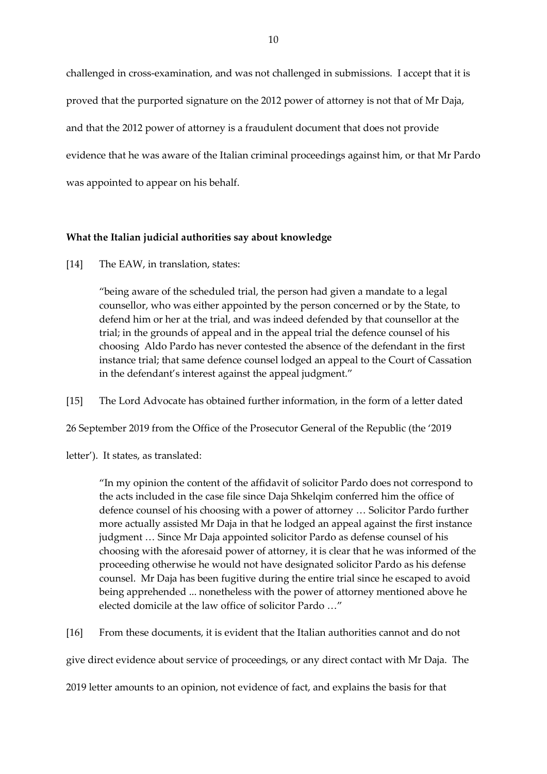challenged in cross-examination, and was not challenged in submissions. I accept that it is proved that the purported signature on the 2012 power of attorney is not that of Mr Daja, and that the 2012 power of attorney is a fraudulent document that does not provide evidence that he was aware of the Italian criminal proceedings against him, or that Mr Pardo was appointed to appear on his behalf.

## **What the Italian judicial authorities say about knowledge**

[14] The EAW, in translation, states:

"being aware of the scheduled trial, the person had given a mandate to a legal counsellor, who was either appointed by the person concerned or by the State, to defend him or her at the trial, and was indeed defended by that counsellor at the trial; in the grounds of appeal and in the appeal trial the defence counsel of his choosing Aldo Pardo has never contested the absence of the defendant in the first instance trial; that same defence counsel lodged an appeal to the Court of Cassation in the defendant's interest against the appeal judgment."

[15] The Lord Advocate has obtained further information, in the form of a letter dated

26 September 2019 from the Office of the Prosecutor General of the Republic (the '2019

letter'). It states, as translated:

"In my opinion the content of the affidavit of solicitor Pardo does not correspond to the acts included in the case file since Daja Shkelqim conferred him the office of defence counsel of his choosing with a power of attorney … Solicitor Pardo further more actually assisted Mr Daja in that he lodged an appeal against the first instance judgment … Since Mr Daja appointed solicitor Pardo as defense counsel of his choosing with the aforesaid power of attorney, it is clear that he was informed of the proceeding otherwise he would not have designated solicitor Pardo as his defense counsel. Mr Daja has been fugitive during the entire trial since he escaped to avoid being apprehended ... nonetheless with the power of attorney mentioned above he elected domicile at the law office of solicitor Pardo …"

[16] From these documents, it is evident that the Italian authorities cannot and do not

give direct evidence about service of proceedings, or any direct contact with Mr Daja. The

2019 letter amounts to an opinion, not evidence of fact, and explains the basis for that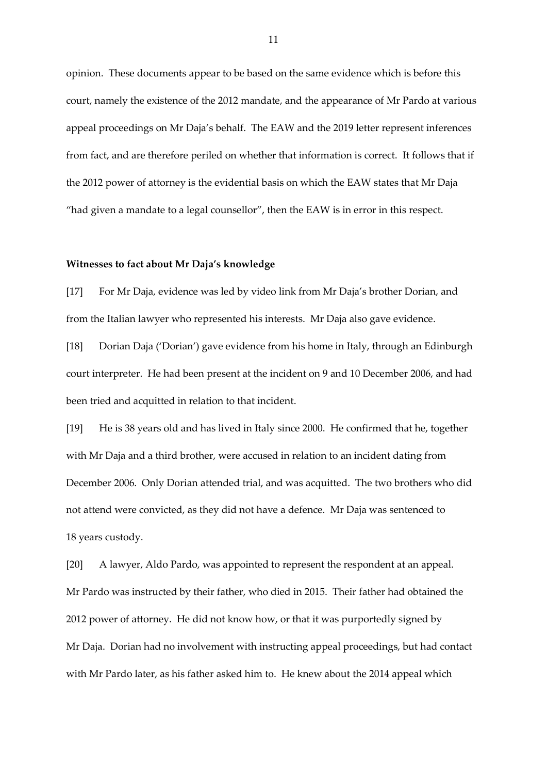opinion. These documents appear to be based on the same evidence which is before this court, namely the existence of the 2012 mandate, and the appearance of Mr Pardo at various appeal proceedings on Mr Daja's behalf. The EAW and the 2019 letter represent inferences from fact, and are therefore periled on whether that information is correct. It follows that if the 2012 power of attorney is the evidential basis on which the EAW states that Mr Daja "had given a mandate to a legal counsellor", then the EAW is in error in this respect.

#### **Witnesses to fact about Mr Daja's knowledge**

[17] For Mr Daja, evidence was led by video link from Mr Daja's brother Dorian, and from the Italian lawyer who represented his interests. Mr Daja also gave evidence.

[18] Dorian Daja ('Dorian') gave evidence from his home in Italy, through an Edinburgh court interpreter. He had been present at the incident on 9 and 10 December 2006, and had been tried and acquitted in relation to that incident.

[19] He is 38 years old and has lived in Italy since 2000. He confirmed that he, together with Mr Daja and a third brother, were accused in relation to an incident dating from December 2006. Only Dorian attended trial, and was acquitted. The two brothers who did not attend were convicted, as they did not have a defence. Mr Daja was sentenced to 18 years custody.

[20] A lawyer, Aldo Pardo, was appointed to represent the respondent at an appeal. Mr Pardo was instructed by their father, who died in 2015. Their father had obtained the 2012 power of attorney. He did not know how, or that it was purportedly signed by Mr Daja. Dorian had no involvement with instructing appeal proceedings, but had contact with Mr Pardo later, as his father asked him to. He knew about the 2014 appeal which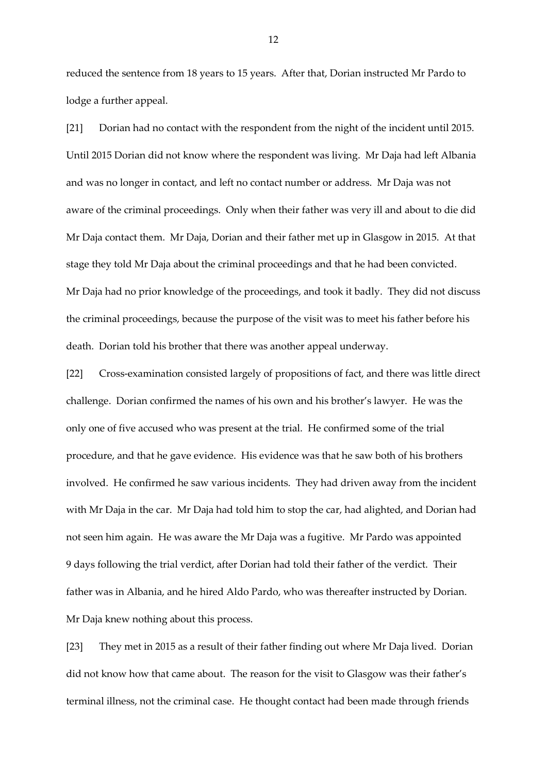reduced the sentence from 18 years to 15 years. After that, Dorian instructed Mr Pardo to lodge a further appeal.

[21] Dorian had no contact with the respondent from the night of the incident until 2015. Until 2015 Dorian did not know where the respondent was living. Mr Daja had left Albania and was no longer in contact, and left no contact number or address. Mr Daja was not aware of the criminal proceedings. Only when their father was very ill and about to die did Mr Daja contact them. Mr Daja, Dorian and their father met up in Glasgow in 2015. At that stage they told Mr Daja about the criminal proceedings and that he had been convicted. Mr Daja had no prior knowledge of the proceedings, and took it badly. They did not discuss the criminal proceedings, because the purpose of the visit was to meet his father before his death. Dorian told his brother that there was another appeal underway.

[22] Cross-examination consisted largely of propositions of fact, and there was little direct challenge. Dorian confirmed the names of his own and his brother's lawyer. He was the only one of five accused who was present at the trial. He confirmed some of the trial procedure, and that he gave evidence. His evidence was that he saw both of his brothers involved. He confirmed he saw various incidents. They had driven away from the incident with Mr Daja in the car. Mr Daja had told him to stop the car, had alighted, and Dorian had not seen him again. He was aware the Mr Daja was a fugitive. Mr Pardo was appointed 9 days following the trial verdict, after Dorian had told their father of the verdict. Their father was in Albania, and he hired Aldo Pardo, who was thereafter instructed by Dorian. Mr Daja knew nothing about this process.

[23] They met in 2015 as a result of their father finding out where Mr Daja lived. Dorian did not know how that came about. The reason for the visit to Glasgow was their father's terminal illness, not the criminal case. He thought contact had been made through friends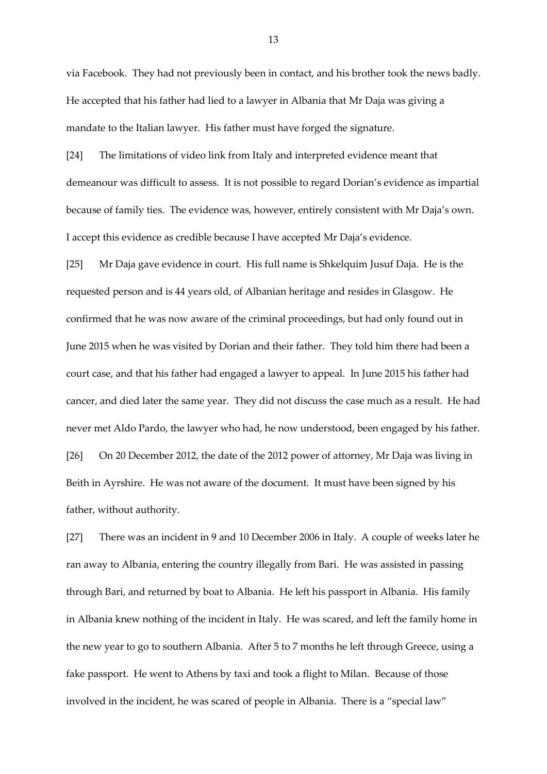via Facebook. They had not previously been in contact, and his brother took the news badly. He accepted that his father had lied to a lawyer in Albania that Mr Daja was giving a mandate to the Italian lawyer. His father must have forged the signature.

[24] The limitations of video link from Italy and interpreted evidence meant that demeanour was difficult to assess. It is not possible to regard Dorian's evidence as impartial because of family ties. The evidence was, however, entirely consistent with Mr Daja's own. I accept this evidence as credible because I have accepted Mr Daja's evidence.

[25] Mr Daja gave evidence in court. His full name is Shkelquim Jusuf Daja. He is the requested person and is 44 years old, of Albanian heritage and resides in Glasgow. He confirmed that he was now aware of the criminal proceedings, but had only found out in June 2015 when he was visited by Dorian and their father. They told him there had been a court case, and that his father had engaged a lawyer to appeal. In June 2015 his father had cancer, and died later the same year. They did not discuss the case much as a result. He had never met Aldo Pardo, the lawyer who had, he now understood, been engaged by his father. [26] On 20 December 2012, the date of the 2012 power of attorney, Mr Daja was living in Beith in Ayrshire. He was not aware of the document. It must have been signed by his father, without authority.

[27] There was an incident in 9 and 10 December 2006 in Italy. A couple of weeks later he ran away to Albania, entering the country illegally from Bari. He was assisted in passing through Bari, and returned by boat to Albania. He left his passport in Albania. His family in Albania knew nothing of the incident in Italy. He was scared, and left the family home in the new year to go to southern Albania. After 5 to 7 months he left through Greece, using a fake passport. He went to Athens by taxi and took a flight to Milan. Because of those involved in the incident, he was scared of people in Albania. There is a "special law"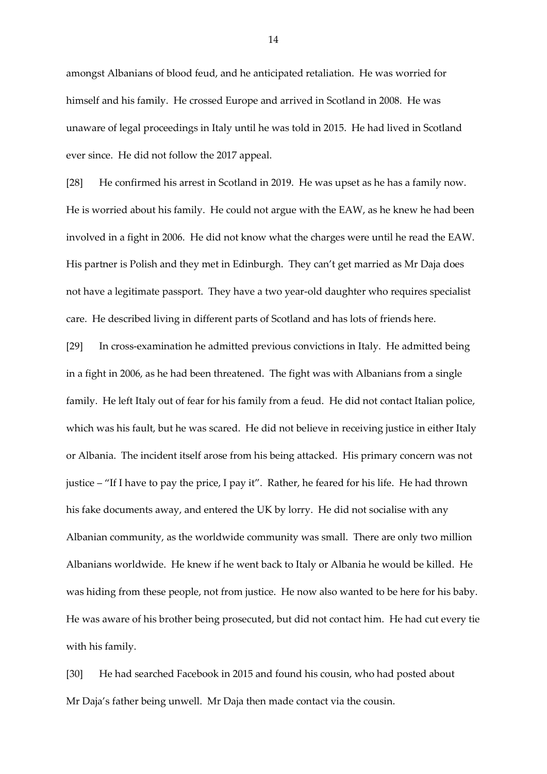amongst Albanians of blood feud, and he anticipated retaliation. He was worried for himself and his family. He crossed Europe and arrived in Scotland in 2008. He was unaware of legal proceedings in Italy until he was told in 2015. He had lived in Scotland ever since. He did not follow the 2017 appeal.

[28] He confirmed his arrest in Scotland in 2019. He was upset as he has a family now. He is worried about his family. He could not argue with the EAW, as he knew he had been involved in a fight in 2006. He did not know what the charges were until he read the EAW. His partner is Polish and they met in Edinburgh. They can't get married as Mr Daja does not have a legitimate passport. They have a two year-old daughter who requires specialist care. He described living in different parts of Scotland and has lots of friends here.

[29] In cross-examination he admitted previous convictions in Italy. He admitted being in a fight in 2006, as he had been threatened. The fight was with Albanians from a single family. He left Italy out of fear for his family from a feud. He did not contact Italian police, which was his fault, but he was scared. He did not believe in receiving justice in either Italy or Albania. The incident itself arose from his being attacked. His primary concern was not justice – "If I have to pay the price, I pay it". Rather, he feared for his life. He had thrown his fake documents away, and entered the UK by lorry. He did not socialise with any Albanian community, as the worldwide community was small. There are only two million Albanians worldwide. He knew if he went back to Italy or Albania he would be killed. He was hiding from these people, not from justice. He now also wanted to be here for his baby. He was aware of his brother being prosecuted, but did not contact him. He had cut every tie with his family.

[30] He had searched Facebook in 2015 and found his cousin, who had posted about Mr Daja's father being unwell. Mr Daja then made contact via the cousin.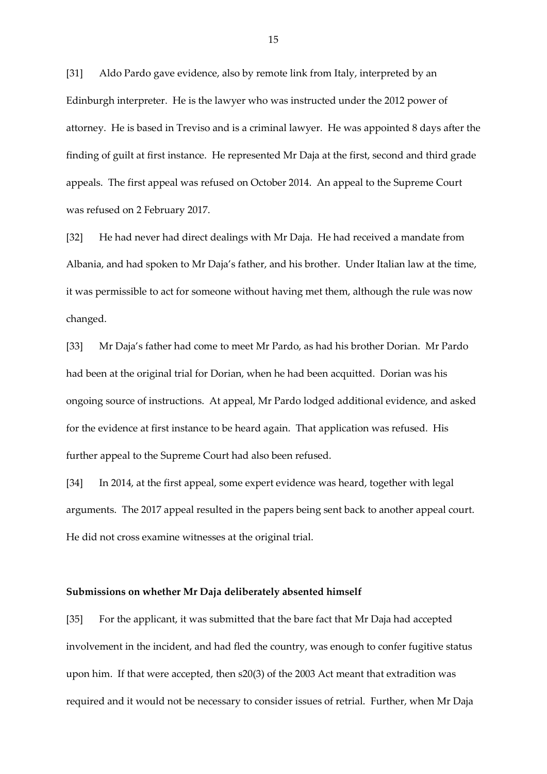[31] Aldo Pardo gave evidence, also by remote link from Italy, interpreted by an Edinburgh interpreter. He is the lawyer who was instructed under the 2012 power of attorney. He is based in Treviso and is a criminal lawyer. He was appointed 8 days after the finding of guilt at first instance. He represented Mr Daja at the first, second and third grade appeals. The first appeal was refused on October 2014. An appeal to the Supreme Court was refused on 2 February 2017.

[32] He had never had direct dealings with Mr Daja. He had received a mandate from Albania, and had spoken to Mr Daja's father, and his brother. Under Italian law at the time, it was permissible to act for someone without having met them, although the rule was now changed.

[33] Mr Daja's father had come to meet Mr Pardo, as had his brother Dorian. Mr Pardo had been at the original trial for Dorian, when he had been acquitted. Dorian was his ongoing source of instructions. At appeal, Mr Pardo lodged additional evidence, and asked for the evidence at first instance to be heard again. That application was refused. His further appeal to the Supreme Court had also been refused.

[34] In 2014, at the first appeal, some expert evidence was heard, together with legal arguments. The 2017 appeal resulted in the papers being sent back to another appeal court. He did not cross examine witnesses at the original trial.

#### **Submissions on whether Mr Daja deliberately absented himself**

[35] For the applicant, it was submitted that the bare fact that Mr Daja had accepted involvement in the incident, and had fled the country, was enough to confer fugitive status upon him. If that were accepted, then s20(3) of the 2003 Act meant that extradition was required and it would not be necessary to consider issues of retrial. Further, when Mr Daja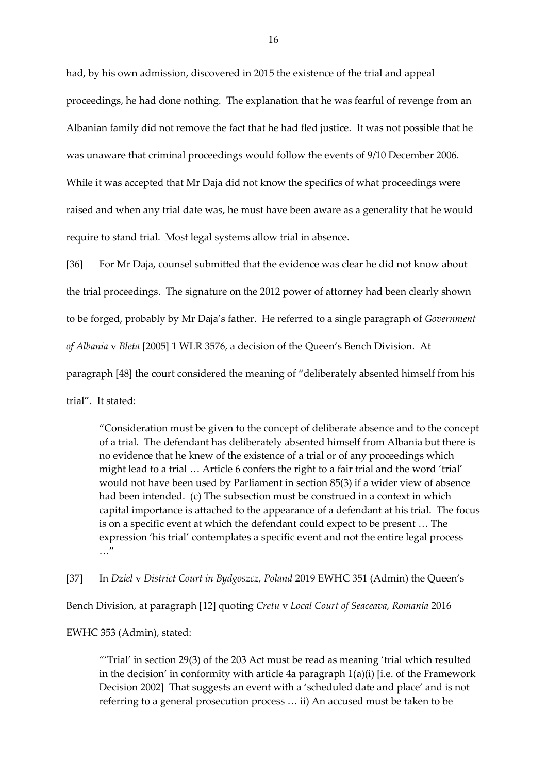had, by his own admission, discovered in 2015 the existence of the trial and appeal proceedings, he had done nothing. The explanation that he was fearful of revenge from an Albanian family did not remove the fact that he had fled justice. It was not possible that he was unaware that criminal proceedings would follow the events of 9/10 December 2006. While it was accepted that Mr Daja did not know the specifics of what proceedings were raised and when any trial date was, he must have been aware as a generality that he would require to stand trial. Most legal systems allow trial in absence.

[36] For Mr Daja, counsel submitted that the evidence was clear he did not know about the trial proceedings. The signature on the 2012 power of attorney had been clearly shown to be forged, probably by Mr Daja's father. He referred to a single paragraph of *Government of Albania* v *Bleta* [2005] 1 WLR 3576, a decision of the Queen's Bench Division. At paragraph [48] the court considered the meaning of "deliberately absented himself from his

trial". It stated:

"Consideration must be given to the concept of deliberate absence and to the concept of a trial. The defendant has deliberately absented himself from Albania but there is no evidence that he knew of the existence of a trial or of any proceedings which might lead to a trial … Article 6 confers the right to a fair trial and the word 'trial' would not have been used by Parliament in section 85(3) if a wider view of absence had been intended. (c) The subsection must be construed in a context in which capital importance is attached to the appearance of a defendant at his trial. The focus is on a specific event at which the defendant could expect to be present … The expression 'his trial' contemplates a specific event and not the entire legal process …"

[37] In *Dziel* v *District Court in Bydgoszcz, Poland* 2019 EWHC 351 (Admin) the Queen's

Bench Division, at paragraph [12] quoting *Cretu* v *Local Court of Seaceava, Romania* 2016

EWHC 353 (Admin), stated:

"'Trial' in section 29(3) of the 203 Act must be read as meaning 'trial which resulted in the decision' in conformity with article 4a paragraph  $1(a)(i)$  [i.e. of the Framework Decision 2002] That suggests an event with a 'scheduled date and place' and is not referring to a general prosecution process … ii) An accused must be taken to be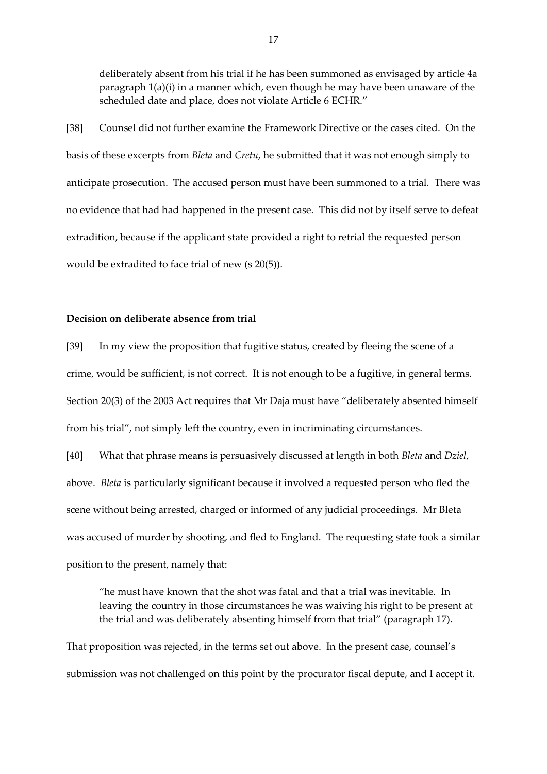deliberately absent from his trial if he has been summoned as envisaged by article 4a paragraph 1(a)(i) in a manner which, even though he may have been unaware of the scheduled date and place, does not violate Article 6 ECHR."

[38] Counsel did not further examine the Framework Directive or the cases cited. On the basis of these excerpts from *Bleta* and *Cretu*, he submitted that it was not enough simply to anticipate prosecution. The accused person must have been summoned to a trial. There was no evidence that had had happened in the present case. This did not by itself serve to defeat extradition, because if the applicant state provided a right to retrial the requested person would be extradited to face trial of new (s 20(5)).

# **Decision on deliberate absence from trial**

[39] In my view the proposition that fugitive status, created by fleeing the scene of a crime, would be sufficient, is not correct. It is not enough to be a fugitive, in general terms. Section 20(3) of the 2003 Act requires that Mr Daja must have "deliberately absented himself from his trial", not simply left the country, even in incriminating circumstances.

[40] What that phrase means is persuasively discussed at length in both *Bleta* and *Dziel*, above. *Bleta* is particularly significant because it involved a requested person who fled the scene without being arrested, charged or informed of any judicial proceedings. Mr Bleta was accused of murder by shooting, and fled to England. The requesting state took a similar position to the present, namely that:

"he must have known that the shot was fatal and that a trial was inevitable. In leaving the country in those circumstances he was waiving his right to be present at the trial and was deliberately absenting himself from that trial" (paragraph 17).

That proposition was rejected, in the terms set out above. In the present case, counsel's submission was not challenged on this point by the procurator fiscal depute, and I accept it.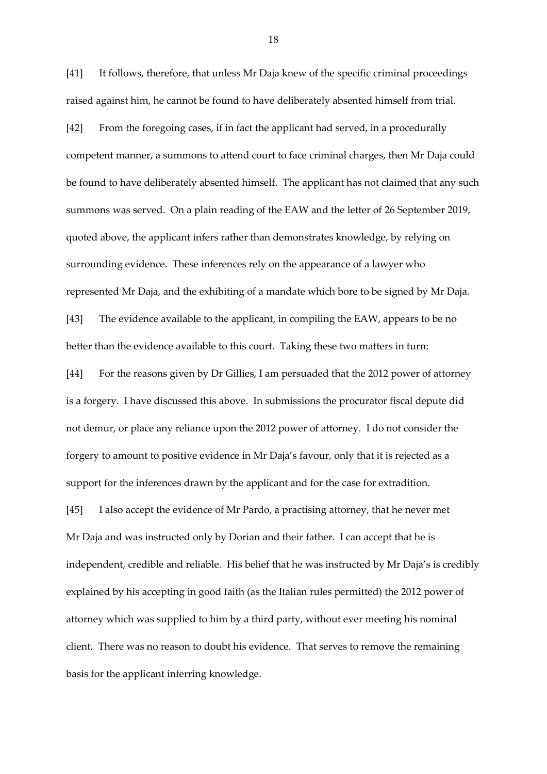[41] It follows, therefore, that unless Mr Daja knew of the specific criminal proceedings raised against him, he cannot be found to have deliberately absented himself from trial. [42] From the foregoing cases, if in fact the applicant had served, in a procedurally competent manner, a summons to attend court to face criminal charges, then Mr Daja could be found to have deliberately absented himself. The applicant has not claimed that any such summons was served. On a plain reading of the EAW and the letter of 26 September 2019, quoted above, the applicant infers rather than demonstrates knowledge, by relying on surrounding evidence. These inferences rely on the appearance of a lawyer who represented Mr Daja, and the exhibiting of a mandate which bore to be signed by Mr Daja. [43] The evidence available to the applicant, in compiling the EAW, appears to be no better than the evidence available to this court. Taking these two matters in turn: [44] For the reasons given by Dr Gillies, I am persuaded that the 2012 power of attorney is a forgery. I have discussed this above. In submissions the procurator fiscal depute did not demur, or place any reliance upon the 2012 power of attorney. I do not consider the forgery to amount to positive evidence in Mr Daja's favour, only that it is rejected as a support for the inferences drawn by the applicant and for the case for extradition. [45] I also accept the evidence of Mr Pardo, a practising attorney, that he never met Mr Daja and was instructed only by Dorian and their father. I can accept that he is independent, credible and reliable. His belief that he was instructed by Mr Daja's is credibly explained by his accepting in good faith (as the Italian rules permitted) the 2012 power of attorney which was supplied to him by a third party, without ever meeting his nominal client. There was no reason to doubt his evidence. That serves to remove the remaining

basis for the applicant inferring knowledge.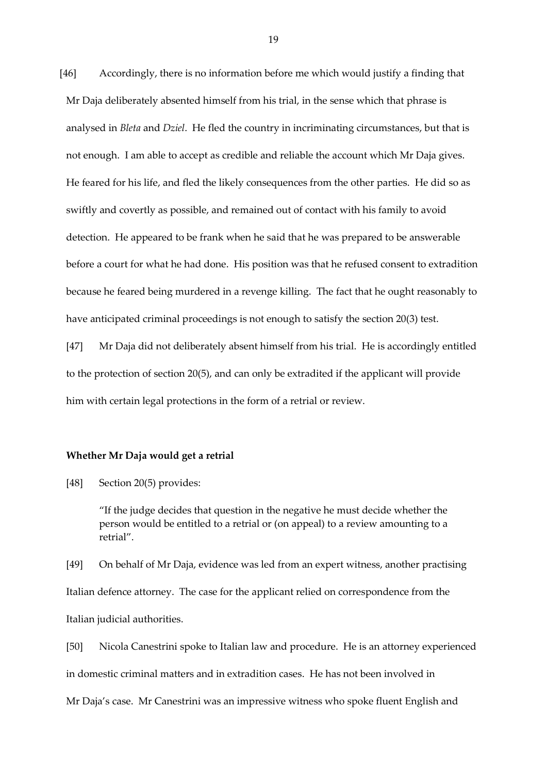[46] Accordingly, there is no information before me which would justify a finding that Mr Daja deliberately absented himself from his trial, in the sense which that phrase is analysed in *Bleta* and *Dziel*. He fled the country in incriminating circumstances, but that is not enough. I am able to accept as credible and reliable the account which Mr Daja gives. He feared for his life, and fled the likely consequences from the other parties. He did so as swiftly and covertly as possible, and remained out of contact with his family to avoid detection. He appeared to be frank when he said that he was prepared to be answerable before a court for what he had done. His position was that he refused consent to extradition because he feared being murdered in a revenge killing. The fact that he ought reasonably to have anticipated criminal proceedings is not enough to satisfy the section 20(3) test.

[47] Mr Daja did not deliberately absent himself from his trial. He is accordingly entitled to the protection of section 20(5), and can only be extradited if the applicant will provide him with certain legal protections in the form of a retrial or review.

#### **Whether Mr Daja would get a retrial**

[48] Section 20(5) provides:

"If the judge decides that question in the negative he must decide whether the person would be entitled to a retrial or (on appeal) to a review amounting to a retrial".

[49] On behalf of Mr Daja, evidence was led from an expert witness, another practising Italian defence attorney. The case for the applicant relied on correspondence from the Italian judicial authorities.

[50] Nicola Canestrini spoke to Italian law and procedure. He is an attorney experienced in domestic criminal matters and in extradition cases. He has not been involved in Mr Daja's case. Mr Canestrini was an impressive witness who spoke fluent English and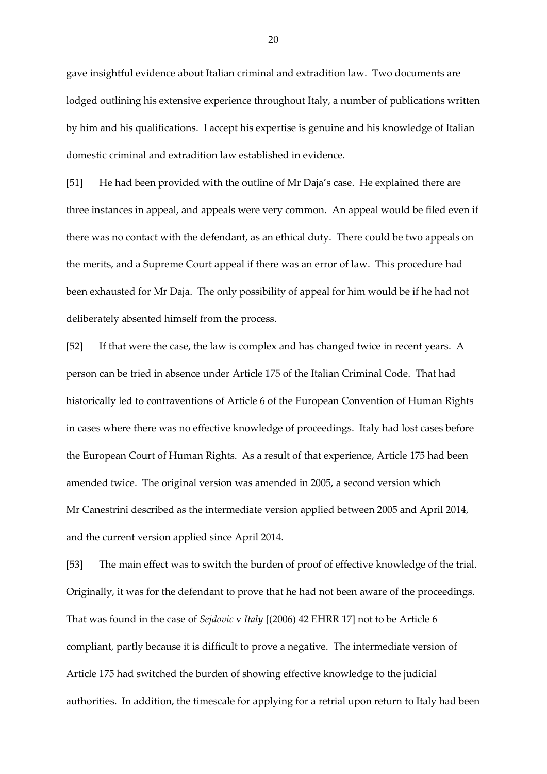gave insightful evidence about Italian criminal and extradition law. Two documents are lodged outlining his extensive experience throughout Italy, a number of publications written by him and his qualifications. I accept his expertise is genuine and his knowledge of Italian domestic criminal and extradition law established in evidence.

[51] He had been provided with the outline of Mr Daja's case. He explained there are three instances in appeal, and appeals were very common. An appeal would be filed even if there was no contact with the defendant, as an ethical duty. There could be two appeals on the merits, and a Supreme Court appeal if there was an error of law. This procedure had been exhausted for Mr Daja. The only possibility of appeal for him would be if he had not deliberately absented himself from the process.

[52] If that were the case, the law is complex and has changed twice in recent years. A person can be tried in absence under Article 175 of the Italian Criminal Code. That had historically led to contraventions of Article 6 of the European Convention of Human Rights in cases where there was no effective knowledge of proceedings. Italy had lost cases before the European Court of Human Rights. As a result of that experience, Article 175 had been amended twice. The original version was amended in 2005, a second version which Mr Canestrini described as the intermediate version applied between 2005 and April 2014, and the current version applied since April 2014.

[53] The main effect was to switch the burden of proof of effective knowledge of the trial. Originally, it was for the defendant to prove that he had not been aware of the proceedings. That was found in the case of *Sejdovic* v *Italy* [(2006) 42 EHRR 17] not to be Article 6 compliant, partly because it is difficult to prove a negative. The intermediate version of Article 175 had switched the burden of showing effective knowledge to the judicial authorities. In addition, the timescale for applying for a retrial upon return to Italy had been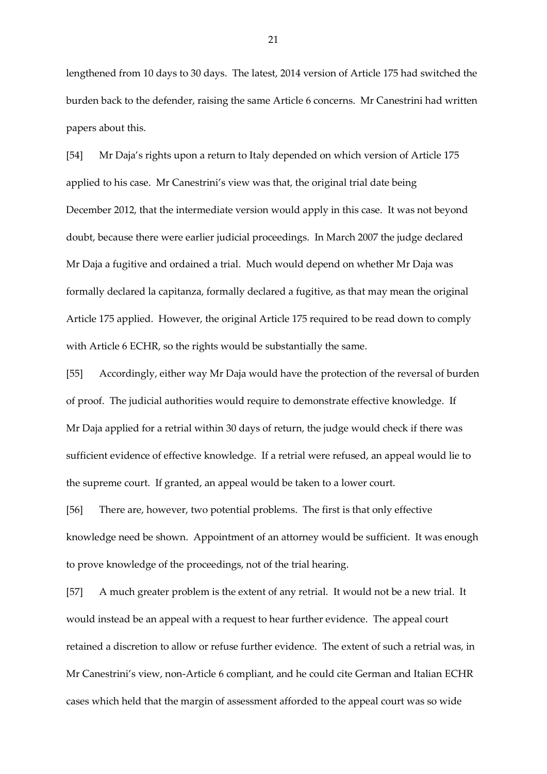lengthened from 10 days to 30 days. The latest, 2014 version of Article 175 had switched the burden back to the defender, raising the same Article 6 concerns. Mr Canestrini had written papers about this.

[54] Mr Daja's rights upon a return to Italy depended on which version of Article 175 applied to his case. Mr Canestrini's view was that, the original trial date being December 2012, that the intermediate version would apply in this case. It was not beyond doubt, because there were earlier judicial proceedings. In March 2007 the judge declared Mr Daja a fugitive and ordained a trial. Much would depend on whether Mr Daja was formally declared la capitanza, formally declared a fugitive, as that may mean the original Article 175 applied. However, the original Article 175 required to be read down to comply with Article 6 ECHR, so the rights would be substantially the same.

[55] Accordingly, either way Mr Daja would have the protection of the reversal of burden of proof. The judicial authorities would require to demonstrate effective knowledge. If Mr Daja applied for a retrial within 30 days of return, the judge would check if there was sufficient evidence of effective knowledge. If a retrial were refused, an appeal would lie to the supreme court. If granted, an appeal would be taken to a lower court.

[56] There are, however, two potential problems. The first is that only effective knowledge need be shown. Appointment of an attorney would be sufficient. It was enough to prove knowledge of the proceedings, not of the trial hearing.

[57] A much greater problem is the extent of any retrial. It would not be a new trial. It would instead be an appeal with a request to hear further evidence. The appeal court retained a discretion to allow or refuse further evidence. The extent of such a retrial was, in Mr Canestrini's view, non-Article 6 compliant, and he could cite German and Italian ECHR cases which held that the margin of assessment afforded to the appeal court was so wide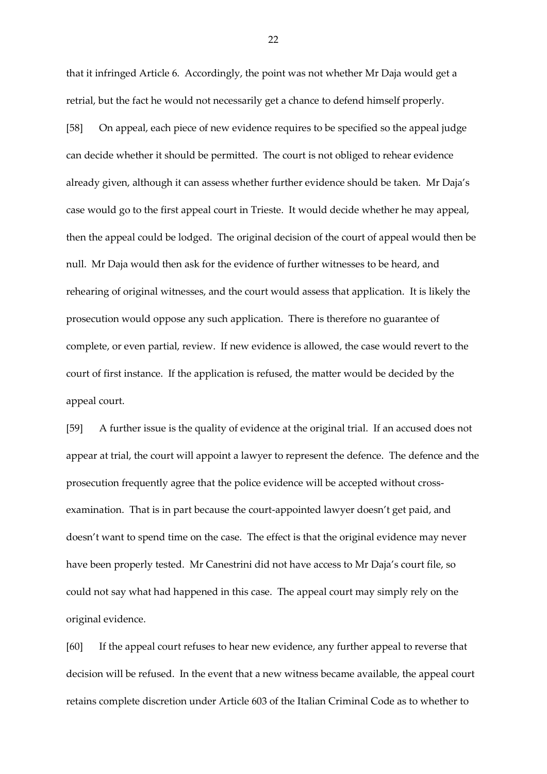that it infringed Article 6. Accordingly, the point was not whether Mr Daja would get a retrial, but the fact he would not necessarily get a chance to defend himself properly.

[58] On appeal, each piece of new evidence requires to be specified so the appeal judge can decide whether it should be permitted. The court is not obliged to rehear evidence already given, although it can assess whether further evidence should be taken. Mr Daja's case would go to the first appeal court in Trieste. It would decide whether he may appeal, then the appeal could be lodged. The original decision of the court of appeal would then be null. Mr Daja would then ask for the evidence of further witnesses to be heard, and rehearing of original witnesses, and the court would assess that application. It is likely the prosecution would oppose any such application. There is therefore no guarantee of complete, or even partial, review. If new evidence is allowed, the case would revert to the court of first instance. If the application is refused, the matter would be decided by the appeal court.

[59] A further issue is the quality of evidence at the original trial. If an accused does not appear at trial, the court will appoint a lawyer to represent the defence. The defence and the prosecution frequently agree that the police evidence will be accepted without crossexamination. That is in part because the court-appointed lawyer doesn't get paid, and doesn't want to spend time on the case. The effect is that the original evidence may never have been properly tested. Mr Canestrini did not have access to Mr Daja's court file, so could not say what had happened in this case. The appeal court may simply rely on the original evidence.

[60] If the appeal court refuses to hear new evidence, any further appeal to reverse that decision will be refused. In the event that a new witness became available, the appeal court retains complete discretion under Article 603 of the Italian Criminal Code as to whether to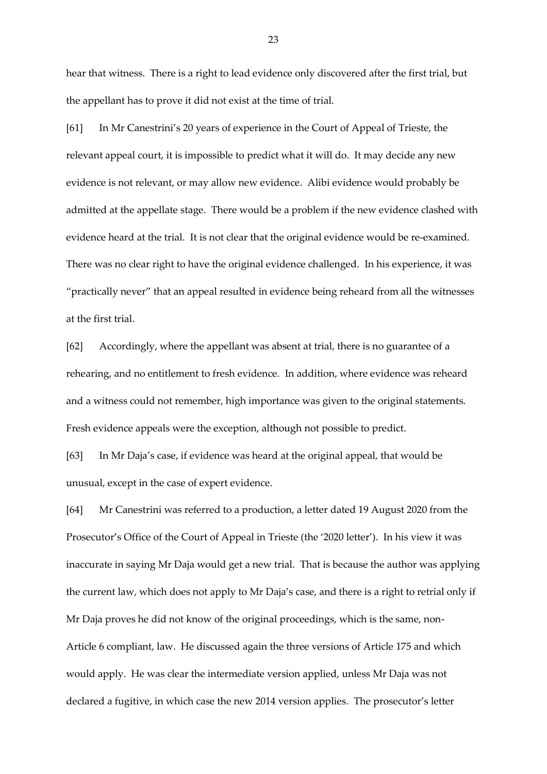hear that witness. There is a right to lead evidence only discovered after the first trial, but the appellant has to prove it did not exist at the time of trial.

[61] In Mr Canestrini's 20 years of experience in the Court of Appeal of Trieste, the relevant appeal court, it is impossible to predict what it will do. It may decide any new evidence is not relevant, or may allow new evidence. Alibi evidence would probably be admitted at the appellate stage. There would be a problem if the new evidence clashed with evidence heard at the trial. It is not clear that the original evidence would be re-examined. There was no clear right to have the original evidence challenged. In his experience, it was "practically never" that an appeal resulted in evidence being reheard from all the witnesses at the first trial.

[62] Accordingly, where the appellant was absent at trial, there is no guarantee of a rehearing, and no entitlement to fresh evidence. In addition, where evidence was reheard and a witness could not remember, high importance was given to the original statements. Fresh evidence appeals were the exception, although not possible to predict.

[63] In Mr Daja's case, if evidence was heard at the original appeal, that would be unusual, except in the case of expert evidence.

[64] Mr Canestrini was referred to a production, a letter dated 19 August 2020 from the Prosecutor's Office of the Court of Appeal in Trieste (the '2020 letter'). In his view it was inaccurate in saying Mr Daja would get a new trial. That is because the author was applying the current law, which does not apply to Mr Daja's case, and there is a right to retrial only if Mr Daja proves he did not know of the original proceedings, which is the same, non-Article 6 compliant, law. He discussed again the three versions of Article 175 and which would apply. He was clear the intermediate version applied, unless Mr Daja was not declared a fugitive, in which case the new 2014 version applies. The prosecutor's letter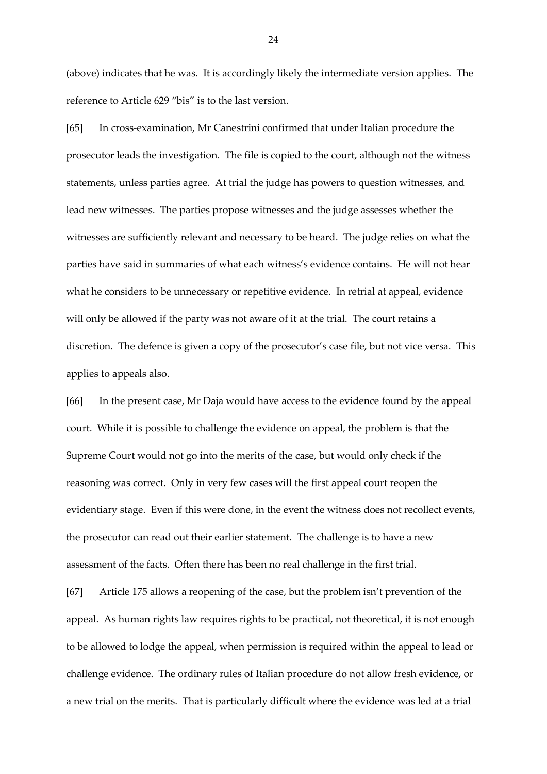(above) indicates that he was. It is accordingly likely the intermediate version applies. The reference to Article 629 "bis" is to the last version.

[65] In cross-examination, Mr Canestrini confirmed that under Italian procedure the prosecutor leads the investigation. The file is copied to the court, although not the witness statements, unless parties agree. At trial the judge has powers to question witnesses, and lead new witnesses. The parties propose witnesses and the judge assesses whether the witnesses are sufficiently relevant and necessary to be heard. The judge relies on what the parties have said in summaries of what each witness's evidence contains. He will not hear what he considers to be unnecessary or repetitive evidence. In retrial at appeal, evidence will only be allowed if the party was not aware of it at the trial. The court retains a discretion. The defence is given a copy of the prosecutor's case file, but not vice versa. This applies to appeals also.

[66] In the present case, Mr Daja would have access to the evidence found by the appeal court. While it is possible to challenge the evidence on appeal, the problem is that the Supreme Court would not go into the merits of the case, but would only check if the reasoning was correct. Only in very few cases will the first appeal court reopen the evidentiary stage. Even if this were done, in the event the witness does not recollect events, the prosecutor can read out their earlier statement. The challenge is to have a new assessment of the facts. Often there has been no real challenge in the first trial.

[67] Article 175 allows a reopening of the case, but the problem isn't prevention of the appeal. As human rights law requires rights to be practical, not theoretical, it is not enough to be allowed to lodge the appeal, when permission is required within the appeal to lead or challenge evidence. The ordinary rules of Italian procedure do not allow fresh evidence, or a new trial on the merits. That is particularly difficult where the evidence was led at a trial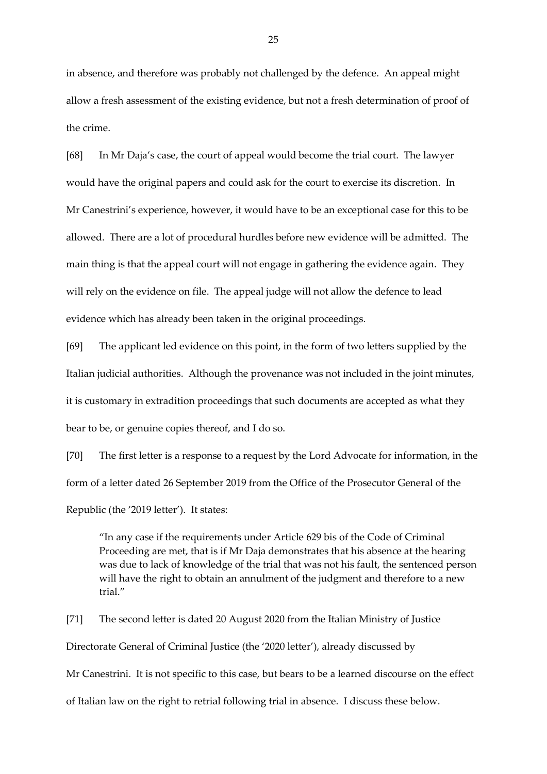in absence, and therefore was probably not challenged by the defence. An appeal might allow a fresh assessment of the existing evidence, but not a fresh determination of proof of the crime.

[68] In Mr Daja's case, the court of appeal would become the trial court. The lawyer would have the original papers and could ask for the court to exercise its discretion. In Mr Canestrini's experience, however, it would have to be an exceptional case for this to be allowed. There are a lot of procedural hurdles before new evidence will be admitted. The main thing is that the appeal court will not engage in gathering the evidence again. They will rely on the evidence on file. The appeal judge will not allow the defence to lead evidence which has already been taken in the original proceedings.

[69] The applicant led evidence on this point, in the form of two letters supplied by the Italian judicial authorities. Although the provenance was not included in the joint minutes, it is customary in extradition proceedings that such documents are accepted as what they bear to be, or genuine copies thereof, and I do so.

[70] The first letter is a response to a request by the Lord Advocate for information, in the form of a letter dated 26 September 2019 from the Office of the Prosecutor General of the Republic (the '2019 letter'). It states:

"In any case if the requirements under Article 629 bis of the Code of Criminal Proceeding are met, that is if Mr Daja demonstrates that his absence at the hearing was due to lack of knowledge of the trial that was not his fault, the sentenced person will have the right to obtain an annulment of the judgment and therefore to a new trial"

[71] The second letter is dated 20 August 2020 from the Italian Ministry of Justice Directorate General of Criminal Justice (the '2020 letter'), already discussed by Mr Canestrini. It is not specific to this case, but bears to be a learned discourse on the effect of Italian law on the right to retrial following trial in absence. I discuss these below.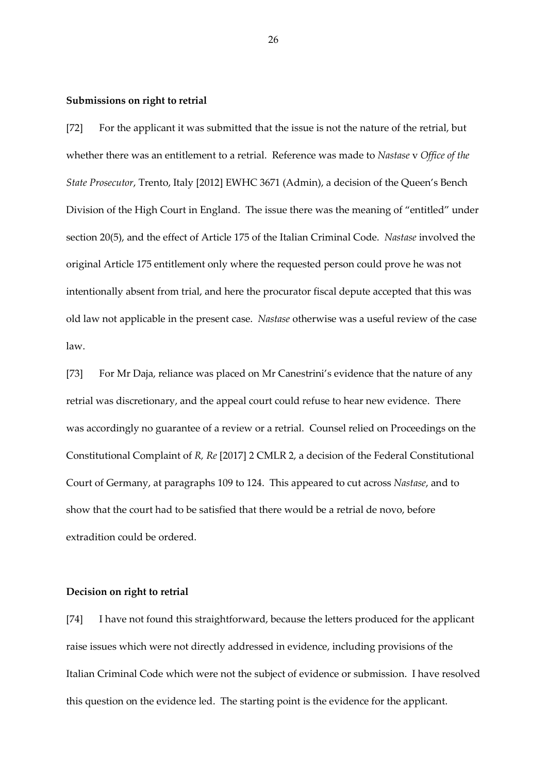#### **Submissions on right to retrial**

[72] For the applicant it was submitted that the issue is not the nature of the retrial, but whether there was an entitlement to a retrial. Reference was made to *Nastase* v *Office of the State Prosecutor*, Trento, Italy [2012] EWHC 3671 (Admin), a decision of the Queen's Bench Division of the High Court in England. The issue there was the meaning of "entitled" under section 20(5), and the effect of Article 175 of the Italian Criminal Code. *Nastase* involved the original Article 175 entitlement only where the requested person could prove he was not intentionally absent from trial, and here the procurator fiscal depute accepted that this was old law not applicable in the present case. *Nastase* otherwise was a useful review of the case law.

[73] For Mr Daja, reliance was placed on Mr Canestrini's evidence that the nature of any retrial was discretionary, and the appeal court could refuse to hear new evidence. There was accordingly no guarantee of a review or a retrial. Counsel relied on Proceedings on the Constitutional Complaint of *R, Re* [2017] 2 CMLR 2, a decision of the Federal Constitutional Court of Germany, at paragraphs 109 to 124. This appeared to cut across *Nastase*, and to show that the court had to be satisfied that there would be a retrial de novo, before extradition could be ordered.

#### **Decision on right to retrial**

[74] I have not found this straightforward, because the letters produced for the applicant raise issues which were not directly addressed in evidence, including provisions of the Italian Criminal Code which were not the subject of evidence or submission. I have resolved this question on the evidence led. The starting point is the evidence for the applicant.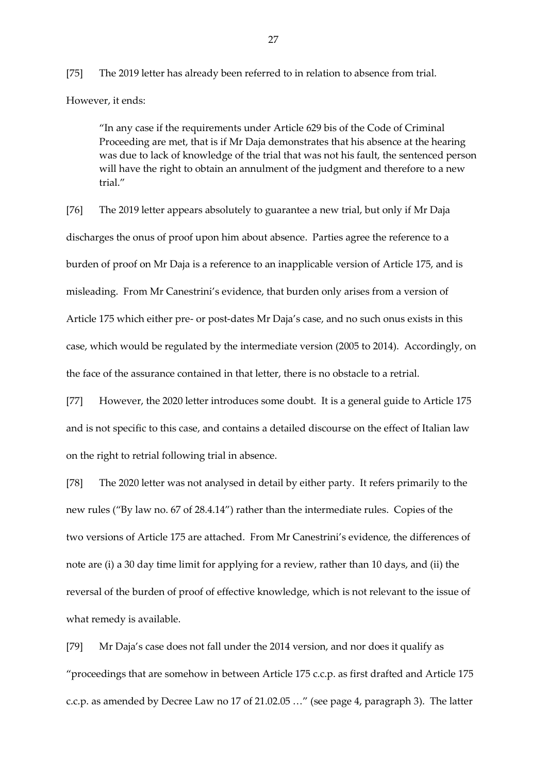[75] The 2019 letter has already been referred to in relation to absence from trial.

However, it ends:

"In any case if the requirements under Article 629 bis of the Code of Criminal Proceeding are met, that is if Mr Daja demonstrates that his absence at the hearing was due to lack of knowledge of the trial that was not his fault, the sentenced person will have the right to obtain an annulment of the judgment and therefore to a new trial"

[76] The 2019 letter appears absolutely to guarantee a new trial, but only if Mr Daja discharges the onus of proof upon him about absence. Parties agree the reference to a burden of proof on Mr Daja is a reference to an inapplicable version of Article 175, and is misleading. From Mr Canestrini's evidence, that burden only arises from a version of Article 175 which either pre- or post-dates Mr Daja's case, and no such onus exists in this case, which would be regulated by the intermediate version (2005 to 2014). Accordingly, on the face of the assurance contained in that letter, there is no obstacle to a retrial.

[77] However, the 2020 letter introduces some doubt. It is a general guide to Article 175 and is not specific to this case, and contains a detailed discourse on the effect of Italian law on the right to retrial following trial in absence.

[78] The 2020 letter was not analysed in detail by either party. It refers primarily to the new rules ("By law no. 67 of 28.4.14") rather than the intermediate rules. Copies of the two versions of Article 175 are attached. From Mr Canestrini's evidence, the differences of note are (i) a 30 day time limit for applying for a review, rather than 10 days, and (ii) the reversal of the burden of proof of effective knowledge, which is not relevant to the issue of what remedy is available.

[79] Mr Daja's case does not fall under the 2014 version, and nor does it qualify as "proceedings that are somehow in between Article 175 c.c.p. as first drafted and Article 175 c.c.p. as amended by Decree Law no 17 of 21.02.05 …" (see page 4, paragraph 3). The latter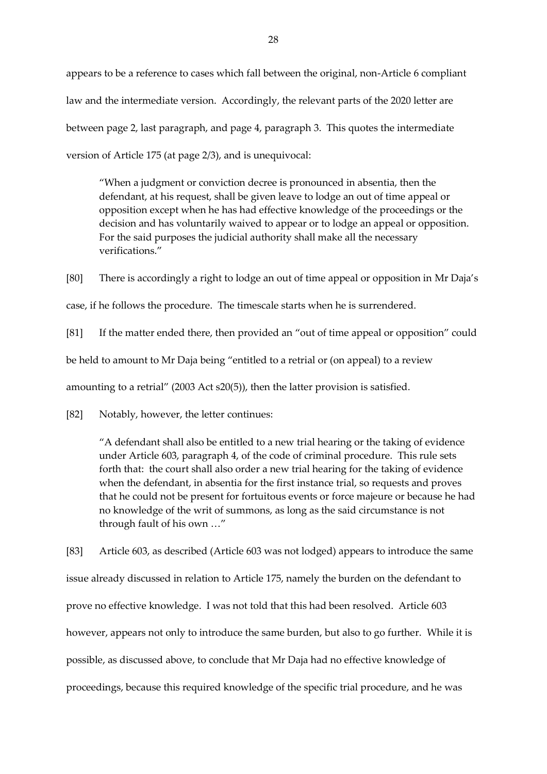appears to be a reference to cases which fall between the original, non-Article 6 compliant law and the intermediate version. Accordingly, the relevant parts of the 2020 letter are between page 2, last paragraph, and page 4, paragraph 3. This quotes the intermediate version of Article 175 (at page 2/3), and is unequivocal:

"When a judgment or conviction decree is pronounced in absentia, then the defendant, at his request, shall be given leave to lodge an out of time appeal or opposition except when he has had effective knowledge of the proceedings or the decision and has voluntarily waived to appear or to lodge an appeal or opposition. For the said purposes the judicial authority shall make all the necessary verifications."

[80] There is accordingly a right to lodge an out of time appeal or opposition in Mr Daja's case, if he follows the procedure. The timescale starts when he is surrendered.

[81] If the matter ended there, then provided an "out of time appeal or opposition" could

be held to amount to Mr Daja being "entitled to a retrial or (on appeal) to a review

amounting to a retrial" (2003 Act s20(5)), then the latter provision is satisfied.

[82] Notably, however, the letter continues:

"A defendant shall also be entitled to a new trial hearing or the taking of evidence under Article 603, paragraph 4, of the code of criminal procedure. This rule sets forth that: the court shall also order a new trial hearing for the taking of evidence when the defendant, in absentia for the first instance trial, so requests and proves that he could not be present for fortuitous events or force majeure or because he had no knowledge of the writ of summons, as long as the said circumstance is not through fault of his own …"

[83] Article 603, as described (Article 603 was not lodged) appears to introduce the same issue already discussed in relation to Article 175, namely the burden on the defendant to prove no effective knowledge. I was not told that this had been resolved. Article 603 however, appears not only to introduce the same burden, but also to go further. While it is possible, as discussed above, to conclude that Mr Daja had no effective knowledge of proceedings, because this required knowledge of the specific trial procedure, and he was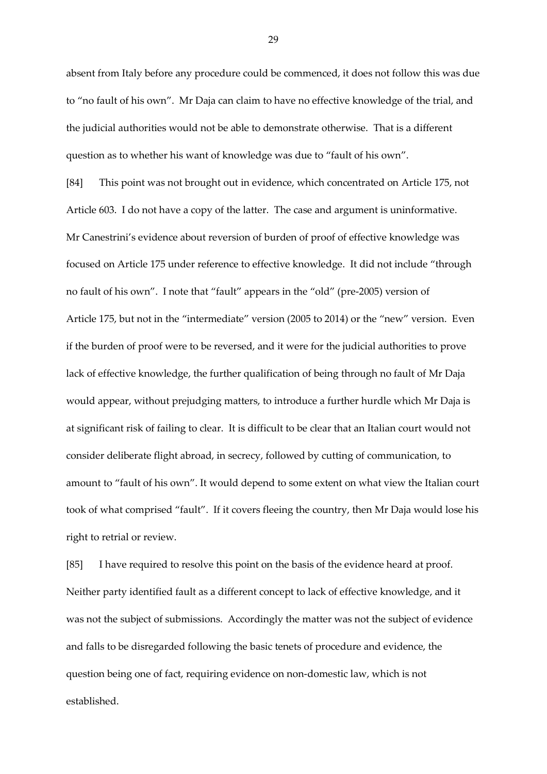absent from Italy before any procedure could be commenced, it does not follow this was due to "no fault of his own". Mr Daja can claim to have no effective knowledge of the trial, and the judicial authorities would not be able to demonstrate otherwise. That is a different question as to whether his want of knowledge was due to "fault of his own".

[84] This point was not brought out in evidence, which concentrated on Article 175, not Article 603. I do not have a copy of the latter. The case and argument is uninformative. Mr Canestrini's evidence about reversion of burden of proof of effective knowledge was focused on Article 175 under reference to effective knowledge. It did not include "through no fault of his own". I note that "fault" appears in the "old" (pre-2005) version of Article 175, but not in the "intermediate" version (2005 to 2014) or the "new" version. Even if the burden of proof were to be reversed, and it were for the judicial authorities to prove lack of effective knowledge, the further qualification of being through no fault of Mr Daja would appear, without prejudging matters, to introduce a further hurdle which Mr Daja is at significant risk of failing to clear. It is difficult to be clear that an Italian court would not consider deliberate flight abroad, in secrecy, followed by cutting of communication, to amount to "fault of his own". It would depend to some extent on what view the Italian court took of what comprised "fault". If it covers fleeing the country, then Mr Daja would lose his right to retrial or review.

[85] I have required to resolve this point on the basis of the evidence heard at proof. Neither party identified fault as a different concept to lack of effective knowledge, and it was not the subject of submissions. Accordingly the matter was not the subject of evidence and falls to be disregarded following the basic tenets of procedure and evidence, the question being one of fact, requiring evidence on non-domestic law, which is not established.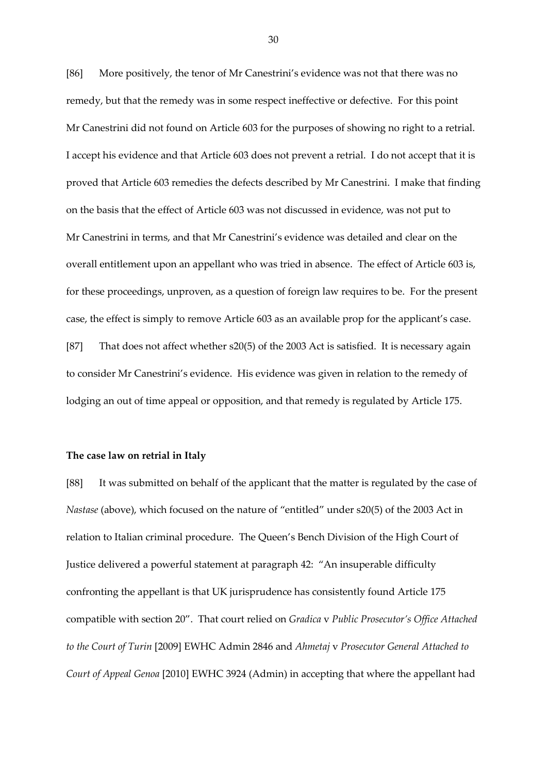[86] More positively, the tenor of Mr Canestrini's evidence was not that there was no remedy, but that the remedy was in some respect ineffective or defective. For this point Mr Canestrini did not found on Article 603 for the purposes of showing no right to a retrial. I accept his evidence and that Article 603 does not prevent a retrial. I do not accept that it is proved that Article 603 remedies the defects described by Mr Canestrini. I make that finding on the basis that the effect of Article 603 was not discussed in evidence, was not put to Mr Canestrini in terms, and that Mr Canestrini's evidence was detailed and clear on the overall entitlement upon an appellant who was tried in absence. The effect of Article 603 is, for these proceedings, unproven, as a question of foreign law requires to be. For the present case, the effect is simply to remove Article 603 as an available prop for the applicant's case. [87] That does not affect whether s20(5) of the 2003 Act is satisfied. It is necessary again to consider Mr Canestrini's evidence. His evidence was given in relation to the remedy of lodging an out of time appeal or opposition, and that remedy is regulated by Article 175.

#### **The case law on retrial in Italy**

[88] It was submitted on behalf of the applicant that the matter is regulated by the case of *Nastase* (above), which focused on the nature of "entitled" under s20(5) of the 2003 Act in relation to Italian criminal procedure. The Queen's Bench Division of the High Court of Justice delivered a powerful statement at paragraph 42: "An insuperable difficulty confronting the appellant is that UK jurisprudence has consistently found Article 175 compatible with section 20". That court relied on *Gradica* v *Public Prosecutor's Office Attached to the Court of Turin* [2009] EWHC Admin 2846 and *Ahmetaj* v *Prosecutor General Attached to Court of Appeal Genoa* [2010] EWHC 3924 (Admin) in accepting that where the appellant had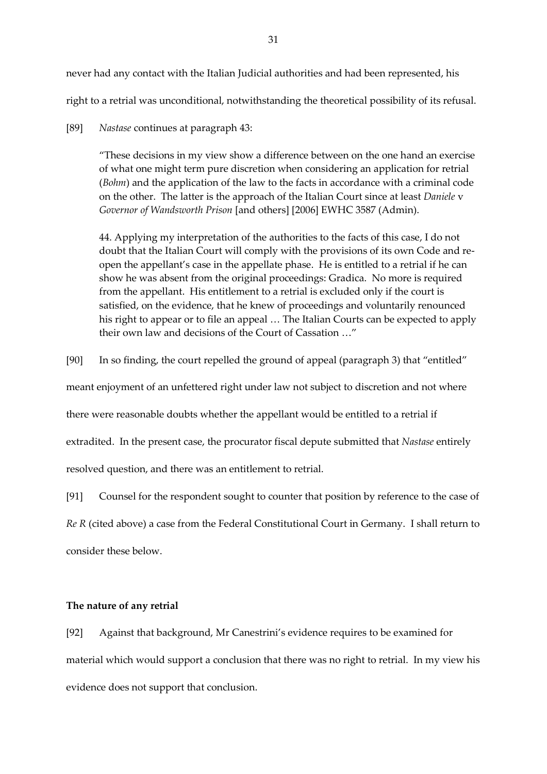never had any contact with the Italian Judicial authorities and had been represented, his right to a retrial was unconditional, notwithstanding the theoretical possibility of its refusal.

[89] *Nastase* continues at paragraph 43:

"These decisions in my view show a difference between on the one hand an exercise of what one might term pure discretion when considering an application for retrial (*Bohm*) and the application of the law to the facts in accordance with a criminal code on the other. The latter is the approach of the Italian Court since at least *Daniele* v *Governor of Wandsworth Prison* [and others] [2006] EWHC 3587 (Admin).

44. Applying my interpretation of the authorities to the facts of this case, I do not doubt that the Italian Court will comply with the provisions of its own Code and reopen the appellant's case in the appellate phase. He is entitled to a retrial if he can show he was absent from the original proceedings: Gradica. No more is required from the appellant. His entitlement to a retrial is excluded only if the court is satisfied, on the evidence, that he knew of proceedings and voluntarily renounced his right to appear or to file an appeal … The Italian Courts can be expected to apply their own law and decisions of the Court of Cassation …"

[90] In so finding, the court repelled the ground of appeal (paragraph 3) that "entitled"

meant enjoyment of an unfettered right under law not subject to discretion and not where

there were reasonable doubts whether the appellant would be entitled to a retrial if

extradited. In the present case, the procurator fiscal depute submitted that *Nastase* entirely

resolved question, and there was an entitlement to retrial.

[91] Counsel for the respondent sought to counter that position by reference to the case of

*Re R* (cited above) a case from the Federal Constitutional Court in Germany. I shall return to consider these below.

## **The nature of any retrial**

[92] Against that background, Mr Canestrini's evidence requires to be examined for material which would support a conclusion that there was no right to retrial. In my view his evidence does not support that conclusion.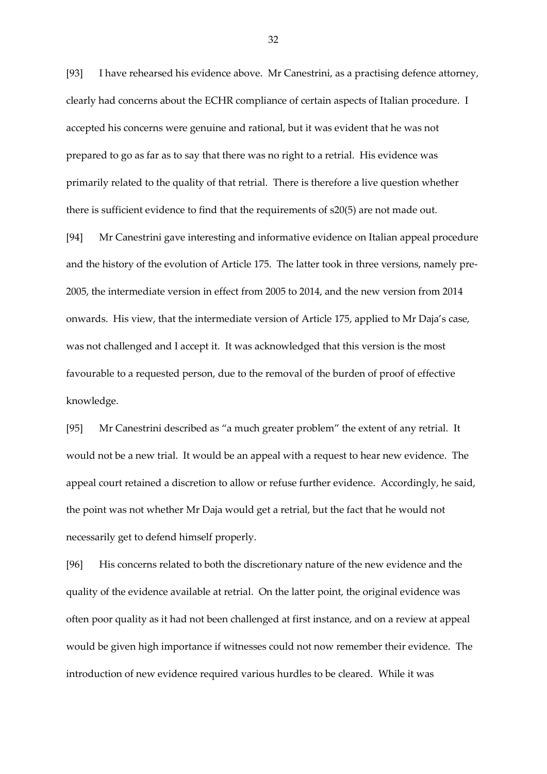[93] I have rehearsed his evidence above. Mr Canestrini, as a practising defence attorney, clearly had concerns about the ECHR compliance of certain aspects of Italian procedure. I accepted his concerns were genuine and rational, but it was evident that he was not prepared to go as far as to say that there was no right to a retrial. His evidence was primarily related to the quality of that retrial. There is therefore a live question whether there is sufficient evidence to find that the requirements of s20(5) are not made out.

[94] Mr Canestrini gave interesting and informative evidence on Italian appeal procedure and the history of the evolution of Article 175. The latter took in three versions, namely pre-2005, the intermediate version in effect from 2005 to 2014, and the new version from 2014 onwards. His view, that the intermediate version of Article 175, applied to Mr Daja's case, was not challenged and I accept it. It was acknowledged that this version is the most favourable to a requested person, due to the removal of the burden of proof of effective knowledge.

[95] Mr Canestrini described as "a much greater problem" the extent of any retrial. It would not be a new trial. It would be an appeal with a request to hear new evidence. The appeal court retained a discretion to allow or refuse further evidence. Accordingly, he said, the point was not whether Mr Daja would get a retrial, but the fact that he would not necessarily get to defend himself properly.

[96] His concerns related to both the discretionary nature of the new evidence and the quality of the evidence available at retrial. On the latter point, the original evidence was often poor quality as it had not been challenged at first instance, and on a review at appeal would be given high importance if witnesses could not now remember their evidence. The introduction of new evidence required various hurdles to be cleared. While it was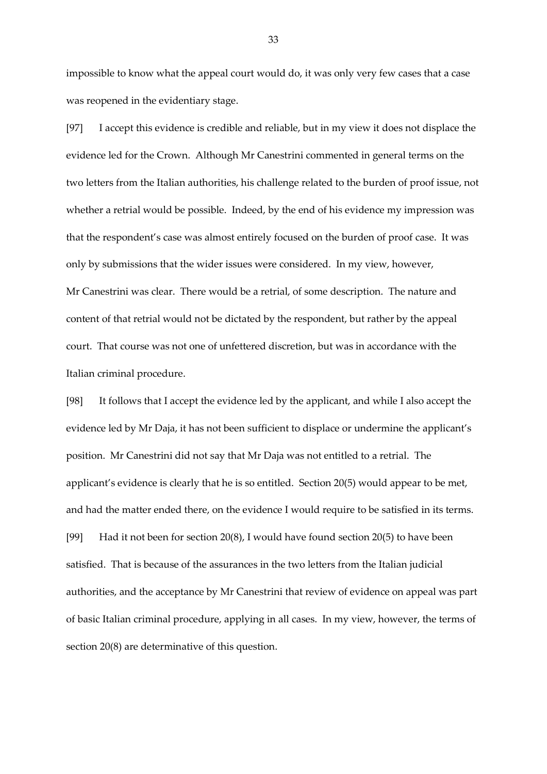impossible to know what the appeal court would do, it was only very few cases that a case was reopened in the evidentiary stage.

[97] I accept this evidence is credible and reliable, but in my view it does not displace the evidence led for the Crown. Although Mr Canestrini commented in general terms on the two letters from the Italian authorities, his challenge related to the burden of proof issue, not whether a retrial would be possible. Indeed, by the end of his evidence my impression was that the respondent's case was almost entirely focused on the burden of proof case. It was only by submissions that the wider issues were considered. In my view, however, Mr Canestrini was clear. There would be a retrial, of some description. The nature and content of that retrial would not be dictated by the respondent, but rather by the appeal court. That course was not one of unfettered discretion, but was in accordance with the Italian criminal procedure.

[98] It follows that I accept the evidence led by the applicant, and while I also accept the evidence led by Mr Daja, it has not been sufficient to displace or undermine the applicant's position. Mr Canestrini did not say that Mr Daja was not entitled to a retrial. The applicant's evidence is clearly that he is so entitled. Section 20(5) would appear to be met, and had the matter ended there, on the evidence I would require to be satisfied in its terms. [99] Had it not been for section 20(8), I would have found section 20(5) to have been satisfied. That is because of the assurances in the two letters from the Italian judicial authorities, and the acceptance by Mr Canestrini that review of evidence on appeal was part of basic Italian criminal procedure, applying in all cases. In my view, however, the terms of section 20(8) are determinative of this question.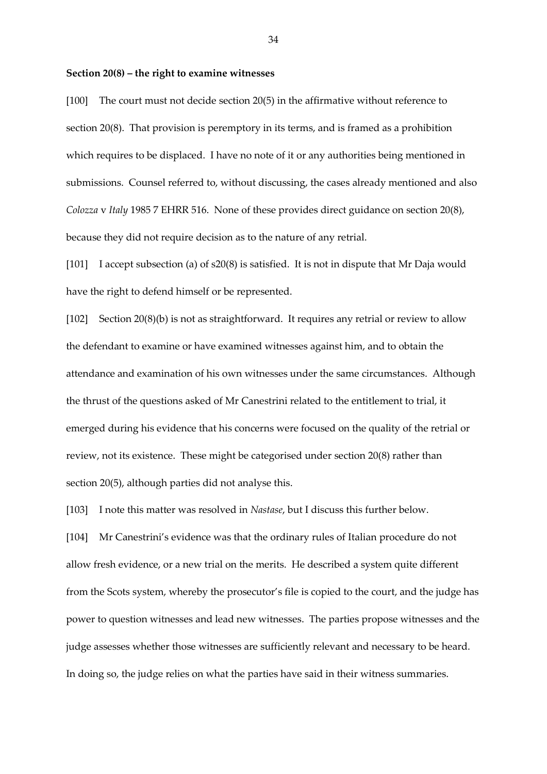#### **Section 20(8) – the right to examine witnesses**

[100] The court must not decide section 20(5) in the affirmative without reference to section 20(8). That provision is peremptory in its terms, and is framed as a prohibition which requires to be displaced. I have no note of it or any authorities being mentioned in submissions. Counsel referred to, without discussing, the cases already mentioned and also *Colozza* v *Italy* 1985 7 EHRR 516. None of these provides direct guidance on section 20(8), because they did not require decision as to the nature of any retrial.

[101] I accept subsection (a) of s20(8) is satisfied. It is not in dispute that Mr Daja would have the right to defend himself or be represented.

[102] Section 20(8)(b) is not as straightforward. It requires any retrial or review to allow the defendant to examine or have examined witnesses against him, and to obtain the attendance and examination of his own witnesses under the same circumstances. Although the thrust of the questions asked of Mr Canestrini related to the entitlement to trial, it emerged during his evidence that his concerns were focused on the quality of the retrial or review, not its existence. These might be categorised under section 20(8) rather than section 20(5), although parties did not analyse this.

[103] I note this matter was resolved in *Nastase*, but I discuss this further below.

[104] Mr Canestrini's evidence was that the ordinary rules of Italian procedure do not allow fresh evidence, or a new trial on the merits. He described a system quite different from the Scots system, whereby the prosecutor's file is copied to the court, and the judge has power to question witnesses and lead new witnesses. The parties propose witnesses and the judge assesses whether those witnesses are sufficiently relevant and necessary to be heard. In doing so, the judge relies on what the parties have said in their witness summaries.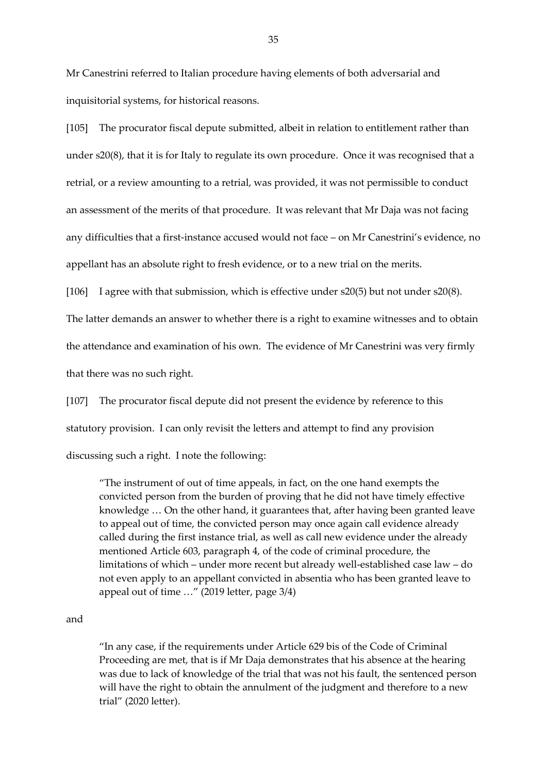Mr Canestrini referred to Italian procedure having elements of both adversarial and inquisitorial systems, for historical reasons.

[105] The procurator fiscal depute submitted, albeit in relation to entitlement rather than under s20(8), that it is for Italy to regulate its own procedure. Once it was recognised that a retrial, or a review amounting to a retrial, was provided, it was not permissible to conduct an assessment of the merits of that procedure. It was relevant that Mr Daja was not facing any difficulties that a first-instance accused would not face – on Mr Canestrini's evidence, no appellant has an absolute right to fresh evidence, or to a new trial on the merits.

[106] I agree with that submission, which is effective under s20(5) but not under s20(8).

The latter demands an answer to whether there is a right to examine witnesses and to obtain

the attendance and examination of his own. The evidence of Mr Canestrini was very firmly

that there was no such right.

[107] The procurator fiscal depute did not present the evidence by reference to this

statutory provision. I can only revisit the letters and attempt to find any provision

discussing such a right. I note the following:

"The instrument of out of time appeals, in fact, on the one hand exempts the convicted person from the burden of proving that he did not have timely effective knowledge … On the other hand, it guarantees that, after having been granted leave to appeal out of time, the convicted person may once again call evidence already called during the first instance trial, as well as call new evidence under the already mentioned Article 603, paragraph 4, of the code of criminal procedure, the limitations of which – under more recent but already well-established case law – do not even apply to an appellant convicted in absentia who has been granted leave to appeal out of time …" (2019 letter, page 3/4)

and

"In any case, if the requirements under Article 629 bis of the Code of Criminal Proceeding are met, that is if Mr Daja demonstrates that his absence at the hearing was due to lack of knowledge of the trial that was not his fault, the sentenced person will have the right to obtain the annulment of the judgment and therefore to a new trial" (2020 letter).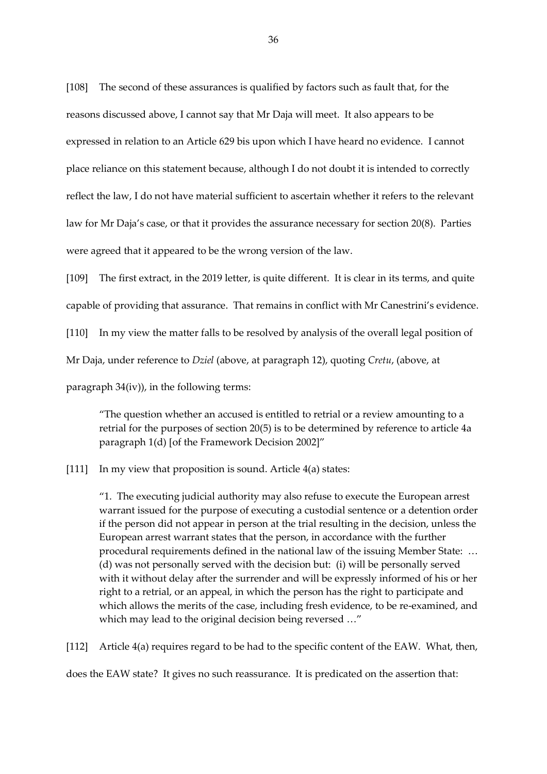[108] The second of these assurances is qualified by factors such as fault that, for the reasons discussed above, I cannot say that Mr Daja will meet. It also appears to be expressed in relation to an Article 629 bis upon which I have heard no evidence. I cannot place reliance on this statement because, although I do not doubt it is intended to correctly reflect the law, I do not have material sufficient to ascertain whether it refers to the relevant law for Mr Daja's case, or that it provides the assurance necessary for section 20(8). Parties were agreed that it appeared to be the wrong version of the law.

[109] The first extract, in the 2019 letter, is quite different. It is clear in its terms, and quite capable of providing that assurance. That remains in conflict with Mr Canestrini's evidence.

[110] In my view the matter falls to be resolved by analysis of the overall legal position of

Mr Daja, under reference to *Dziel* (above, at paragraph 12), quoting *Cretu*, (above, at

paragraph 34(iv)), in the following terms:

"The question whether an accused is entitled to retrial or a review amounting to a retrial for the purposes of section 20(5) is to be determined by reference to article 4a paragraph 1(d) [of the Framework Decision 2002]"

[111] In my view that proposition is sound. Article 4(a) states:

"1. The executing judicial authority may also refuse to execute the European arrest warrant issued for the purpose of executing a custodial sentence or a detention order if the person did not appear in person at the trial resulting in the decision, unless the European arrest warrant states that the person, in accordance with the further procedural requirements defined in the national law of the issuing Member State: … (d) was not personally served with the decision but: (i) will be personally served with it without delay after the surrender and will be expressly informed of his or her right to a retrial, or an appeal, in which the person has the right to participate and which allows the merits of the case, including fresh evidence, to be re-examined, and which may lead to the original decision being reversed …"

[112] Article 4(a) requires regard to be had to the specific content of the EAW. What, then,

does the EAW state? It gives no such reassurance. It is predicated on the assertion that: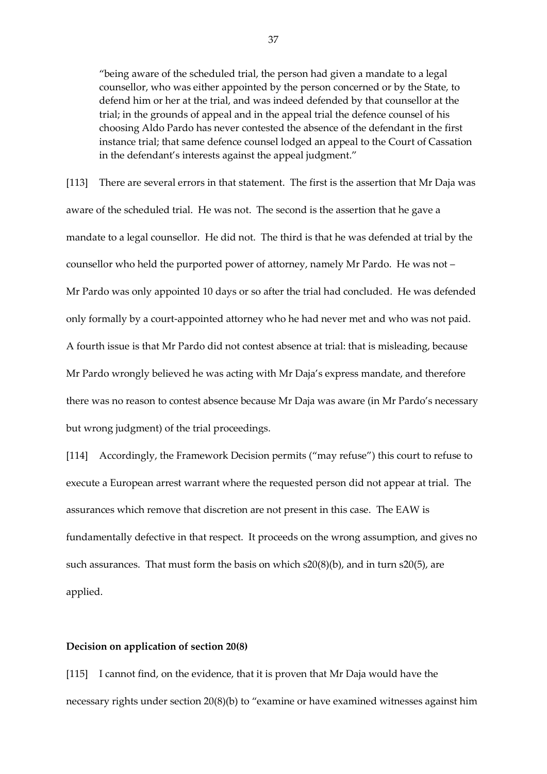"being aware of the scheduled trial, the person had given a mandate to a legal counsellor, who was either appointed by the person concerned or by the State, to defend him or her at the trial, and was indeed defended by that counsellor at the trial; in the grounds of appeal and in the appeal trial the defence counsel of his choosing Aldo Pardo has never contested the absence of the defendant in the first instance trial; that same defence counsel lodged an appeal to the Court of Cassation in the defendant's interests against the appeal judgment."

[113] There are several errors in that statement. The first is the assertion that Mr Daja was aware of the scheduled trial. He was not. The second is the assertion that he gave a mandate to a legal counsellor. He did not. The third is that he was defended at trial by the counsellor who held the purported power of attorney, namely Mr Pardo. He was not – Mr Pardo was only appointed 10 days or so after the trial had concluded. He was defended only formally by a court-appointed attorney who he had never met and who was not paid. A fourth issue is that Mr Pardo did not contest absence at trial: that is misleading, because Mr Pardo wrongly believed he was acting with Mr Daja's express mandate, and therefore there was no reason to contest absence because Mr Daja was aware (in Mr Pardo's necessary but wrong judgment) of the trial proceedings.

[114] Accordingly, the Framework Decision permits ("may refuse") this court to refuse to execute a European arrest warrant where the requested person did not appear at trial. The assurances which remove that discretion are not present in this case. The EAW is fundamentally defective in that respect. It proceeds on the wrong assumption, and gives no such assurances. That must form the basis on which s20(8)(b), and in turn s20(5), are applied.

## **Decision on application of section 20(8)**

[115] I cannot find, on the evidence, that it is proven that Mr Daja would have the necessary rights under section 20(8)(b) to "examine or have examined witnesses against him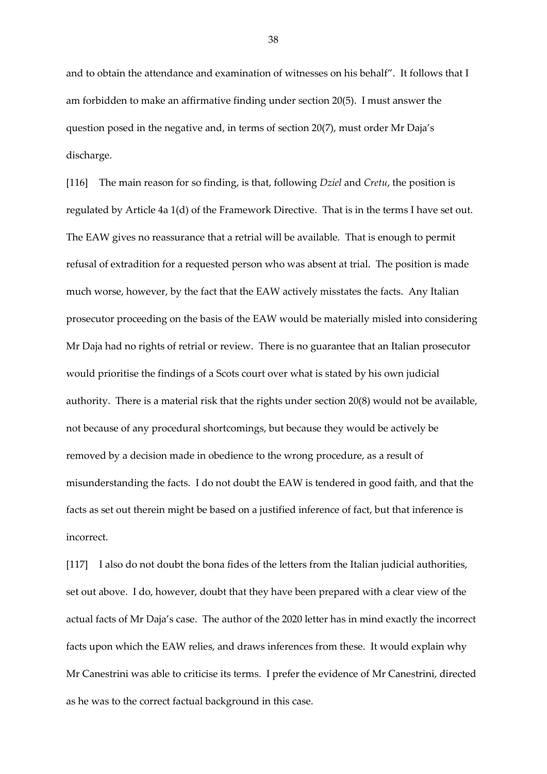and to obtain the attendance and examination of witnesses on his behalf". It follows that I am forbidden to make an affirmative finding under section 20(5). I must answer the question posed in the negative and, in terms of section 20(7), must order Mr Daja's discharge.

[116] The main reason for so finding, is that, following *Dziel* and *Cretu*, the position is regulated by Article 4a 1(d) of the Framework Directive. That is in the terms I have set out. The EAW gives no reassurance that a retrial will be available. That is enough to permit refusal of extradition for a requested person who was absent at trial. The position is made much worse, however, by the fact that the EAW actively misstates the facts. Any Italian prosecutor proceeding on the basis of the EAW would be materially misled into considering Mr Daja had no rights of retrial or review. There is no guarantee that an Italian prosecutor would prioritise the findings of a Scots court over what is stated by his own judicial authority. There is a material risk that the rights under section 20(8) would not be available, not because of any procedural shortcomings, but because they would be actively be removed by a decision made in obedience to the wrong procedure, as a result of misunderstanding the facts. I do not doubt the EAW is tendered in good faith, and that the facts as set out therein might be based on a justified inference of fact, but that inference is incorrect.

[117] I also do not doubt the bona fides of the letters from the Italian judicial authorities, set out above. I do, however, doubt that they have been prepared with a clear view of the actual facts of Mr Daja's case. The author of the 2020 letter has in mind exactly the incorrect facts upon which the EAW relies, and draws inferences from these. It would explain why Mr Canestrini was able to criticise its terms. I prefer the evidence of Mr Canestrini, directed as he was to the correct factual background in this case.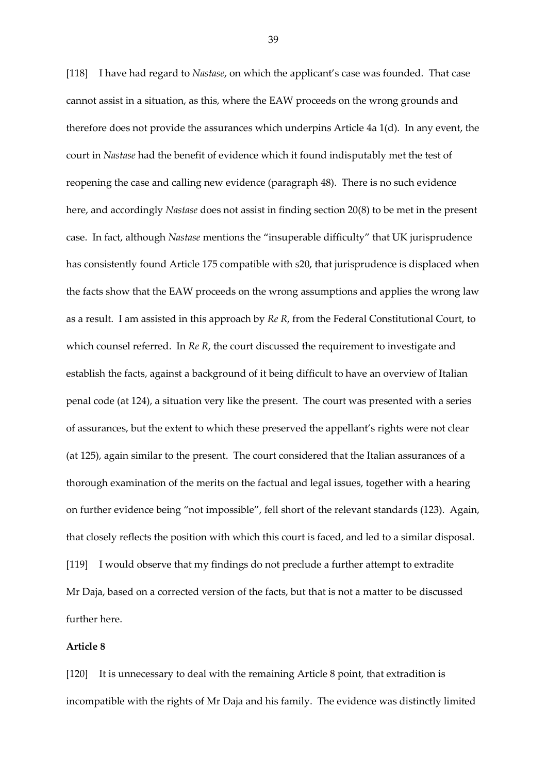[118] I have had regard to *Nastase*, on which the applicant's case was founded. That case cannot assist in a situation, as this, where the EAW proceeds on the wrong grounds and therefore does not provide the assurances which underpins Article 4a 1(d). In any event, the court in *Nastase* had the benefit of evidence which it found indisputably met the test of reopening the case and calling new evidence (paragraph 48). There is no such evidence here, and accordingly *Nastase* does not assist in finding section 20(8) to be met in the present case. In fact, although *Nastase* mentions the "insuperable difficulty" that UK jurisprudence has consistently found Article 175 compatible with s20, that jurisprudence is displaced when the facts show that the EAW proceeds on the wrong assumptions and applies the wrong law as a result. I am assisted in this approach by *Re R*, from the Federal Constitutional Court, to which counsel referred. In *Re R*, the court discussed the requirement to investigate and establish the facts, against a background of it being difficult to have an overview of Italian penal code (at 124), a situation very like the present. The court was presented with a series of assurances, but the extent to which these preserved the appellant's rights were not clear (at 125), again similar to the present. The court considered that the Italian assurances of a thorough examination of the merits on the factual and legal issues, together with a hearing on further evidence being "not impossible", fell short of the relevant standards (123). Again, that closely reflects the position with which this court is faced, and led to a similar disposal. [119] I would observe that my findings do not preclude a further attempt to extradite Mr Daja, based on a corrected version of the facts, but that is not a matter to be discussed further here.

# **Article 8**

[120] It is unnecessary to deal with the remaining Article 8 point, that extradition is incompatible with the rights of Mr Daja and his family. The evidence was distinctly limited